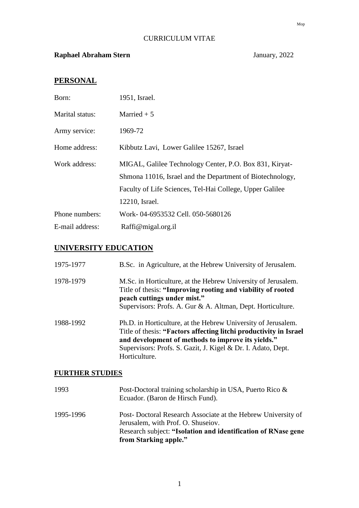## CURRICULUM VITAE

## **Raphael Abraham Stern** January, 2022

# **PERSONAL**

| Born:           | 1951, Israel.                                                                                                                                                                    |
|-----------------|----------------------------------------------------------------------------------------------------------------------------------------------------------------------------------|
| Marital status: | Married $+5$                                                                                                                                                                     |
| Army service:   | 1969-72                                                                                                                                                                          |
| Home address:   | Kibbutz Lavi, Lower Galilee 15267, Israel                                                                                                                                        |
| Work address:   | MIGAL, Galilee Technology Center, P.O. Box 831, Kiryat-<br>Shmona 11016, Israel and the Department of Biotechnology,<br>Faculty of Life Sciences, Tel-Hai College, Upper Galilee |
|                 | 12210, Israel.                                                                                                                                                                   |
| Phone numbers:  | Work-04-6953532 Cell. 050-5680126                                                                                                                                                |
| E-mail address: | Raffi@migal.org.il                                                                                                                                                               |

## **UNIVERSITY EDUCATION**

| 1975-1977 | B.Sc. in Agriculture, at the Hebrew University of Jerusalem.                                                                                                                                                                                                              |
|-----------|---------------------------------------------------------------------------------------------------------------------------------------------------------------------------------------------------------------------------------------------------------------------------|
| 1978-1979 | M.Sc. in Horticulture, at the Hebrew University of Jerusalem.<br>Title of thesis: "Improving rooting and viability of rooted<br>peach cuttings under mist."<br>Supervisors: Profs. A. Gur & A. Altman, Dept. Horticulture.                                                |
| 1988-1992 | Ph.D. in Horticulture, at the Hebrew University of Jerusalem.<br>Title of thesis: "Factors affecting litchi productivity in Israel<br>and development of methods to improve its yields."<br>Supervisors: Profs. S. Gazit, J. Kigel & Dr. I. Adato, Dept.<br>Horticulture. |

## **FURTHER STUDIES**

| 1993      | Post-Doctoral training scholarship in USA, Puerto Rico &<br>Ecuador. (Baron de Hirsch Fund).                                                                                                 |
|-----------|----------------------------------------------------------------------------------------------------------------------------------------------------------------------------------------------|
| 1995-1996 | Post-Doctoral Research Associate at the Hebrew University of<br>Jerusalem, with Prof. O. Shuseiov.<br>Research subject: "Isolation and identification of RNase gene<br>from Starking apple." |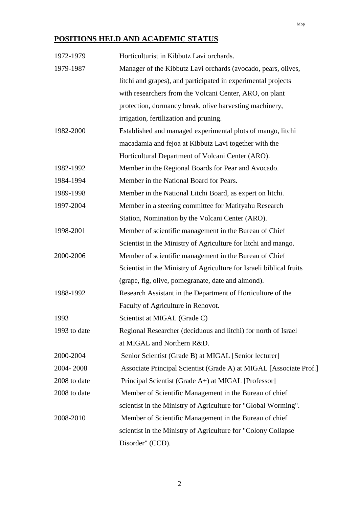# **POSITIONS HELD AND ACADEMIC STATUS**

| 1972-1979    | Horticulturist in Kibbutz Lavi orchards.                             |
|--------------|----------------------------------------------------------------------|
| 1979-1987    | Manager of the Kibbutz Lavi orchards (avocado, pears, olives,        |
|              | litchi and grapes), and participated in experimental projects        |
|              | with researchers from the Volcani Center, ARO, on plant              |
|              | protection, dormancy break, olive harvesting machinery,              |
|              | irrigation, fertilization and pruning.                               |
| 1982-2000    | Established and managed experimental plots of mango, litchi          |
|              | macadamia and fejoa at Kibbutz Lavi together with the                |
|              | Horticultural Department of Volcani Center (ARO).                    |
| 1982-1992    | Member in the Regional Boards for Pear and Avocado.                  |
| 1984-1994    | Member in the National Board for Pears.                              |
| 1989-1998    | Member in the National Litchi Board, as expert on litchi.            |
| 1997-2004    | Member in a steering committee for Matityahu Research                |
|              | Station, Nomination by the Volcani Center (ARO).                     |
| 1998-2001    | Member of scientific management in the Bureau of Chief               |
|              | Scientist in the Ministry of Agriculture for litchi and mango.       |
| 2000-2006    | Member of scientific management in the Bureau of Chief               |
|              | Scientist in the Ministry of Agriculture for Israeli biblical fruits |
|              | (grape, fig, olive, pomegranate, date and almond).                   |
| 1988-1992    | Research Assistant in the Department of Horticulture of the          |
|              | Faculty of Agriculture in Rehovot.                                   |
| 1993         | Scientist at MIGAL (Grade C)                                         |
| 1993 to date | Regional Researcher (deciduous and litchi) for north of Israel       |
|              | at MIGAL and Northern R&D.                                           |
| 2000-2004    | Senior Scientist (Grade B) at MIGAL [Senior lecturer]                |
| 2004-2008    | Associate Principal Scientist (Grade A) at MIGAL [Associate Prof.]   |
| 2008 to date | Principal Scientist (Grade A+) at MIGAL [Professor]                  |
| 2008 to date | Member of Scientific Management in the Bureau of chief               |
|              | scientist in the Ministry of Agriculture for "Global Worming".       |
| 2008-2010    | Member of Scientific Management in the Bureau of chief               |
|              | scientist in the Ministry of Agriculture for "Colony Collapse"       |
|              | Disorder" (CCD).                                                     |

Mop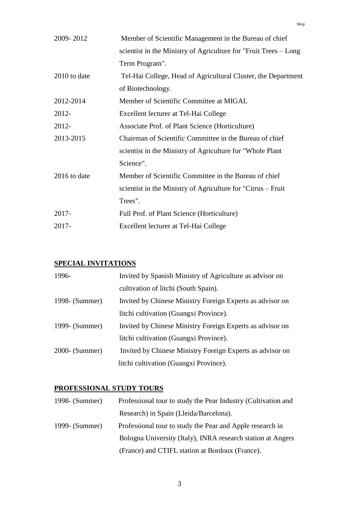| 2009-2012    | Member of Scientific Management in the Bureau of chief           |
|--------------|------------------------------------------------------------------|
|              | scientist in the Ministry of Agriculture for "Fruit Trees – Long |
|              | Term Program".                                                   |
| 2010 to date | Tel-Hai College, Head of Agricultural Cluster, the Department    |
|              | of Biotechnology.                                                |
| 2012-2014    | Member of Scientific Committee at MIGAL                          |
| 2012-        | Excellent lecturer at Tel-Hai College                            |
| 2012-        | Associate Prof. of Plant Science (Horticulture)                  |
| 2013-2015    | Chairman of Scientific Committee in the Bureau of chief          |
|              | scientist in the Ministry of Agriculture for "Whole Plant"       |
|              | Science".                                                        |
| 2016 to date | Member of Scientific Committee in the Bureau of chief            |
|              | scientist in the Ministry of Agriculture for "Citrus – Fruit     |
|              | Trees".                                                          |
| $2017 -$     | Full Prof. of Plant Science (Horticulture)                       |
| 2017-        | Excellent lecturer at Tel-Hai College                            |

## **SPECIAL INVITATIONS**

| 1996-          | Invited by Spanish Ministry of Agriculture as advisor on  |
|----------------|-----------------------------------------------------------|
|                | cultivation of litchi (South Spain).                      |
| 1998- (Summer) | Invited by Chinese Ministry Foreign Experts as advisor on |
|                | litchi cultivation (Guangxi Province).                    |
| 1999- (Summer) | Invited by Chinese Ministry Foreign Experts as advisor on |
|                | litchi cultivation (Guangxi Province).                    |
| 2000- (Summer) | Invited by Chinese Ministry Foreign Experts as advisor on |
|                | litchi cultivation (Guangxi Province).                    |

## **PROFESSIONAL STUDY TOURS**

| $1998 - (Summer)$ | Professional tour to study the Pear Industry (Cultivation and |
|-------------------|---------------------------------------------------------------|
|                   | Research) in Spain (Lleida/Barcelona).                        |
| 1999- (Summer)    | Professional tour to study the Pear and Apple research in     |
|                   | Bologna University (Italy), INRA research station at Angers   |
|                   | (France) and CTIFL station at Bordoux (France).               |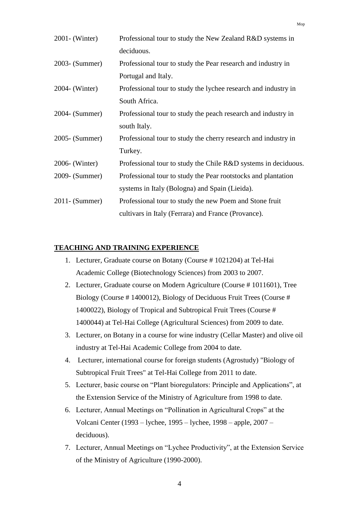| $2001 - (Winter)$ | Professional tour to study the New Zealand R&D systems in      |
|-------------------|----------------------------------------------------------------|
|                   | deciduous.                                                     |
| 2003- (Summer)    | Professional tour to study the Pear research and industry in   |
|                   | Portugal and Italy.                                            |
| 2004- (Winter)    | Professional tour to study the lychee research and industry in |
|                   | South Africa.                                                  |
| 2004- (Summer)    | Professional tour to study the peach research and industry in  |
|                   | south Italy.                                                   |
| 2005- (Summer)    | Professional tour to study the cherry research and industry in |
|                   | Turkey.                                                        |
| 2006- (Winter)    | Professional tour to study the Chile R&D systems in deciduous. |
| 2009- (Summer)    | Professional tour to study the Pear rootstocks and plantation  |
|                   | systems in Italy (Bologna) and Spain (Lieida).                 |
| $2011 - (Summer)$ | Professional tour to study the new Poem and Stone fruit        |
|                   | cultivars in Italy (Ferrara) and France (Provance).            |

## **TEACHING AND TRAINING EXPERIENCE**

- 1. Lecturer, Graduate course on Botany (Course # 1021204) at Tel-Hai Academic College (Biotechnology Sciences) from 2003 to 2007.
- 2. Lecturer, Graduate course on Modern Agriculture (Course # 1011601), Tree Biology (Course # 1400012), Biology of Deciduous Fruit Trees (Course # 1400022), Biology of Tropical and Subtropical Fruit Trees (Course # 1400044) at Tel-Hai College (Agricultural Sciences) from 2009 to date.
- 3. Lecturer, on Botany in a course for wine industry (Cellar Master) and olive oil industry at Tel-Hai Academic College from 2004 to date.
- 4. Lecturer, international course for foreign students (Agrostudy) "Biology of Subtropical Fruit Trees" at Tel-Hai College from 2011 to date.
- 5. Lecturer, basic course on "Plant bioregulators: Principle and Applications", at the Extension Service of the Ministry of Agriculture from 1998 to date.
- 6. Lecturer, Annual Meetings on "Pollination in Agricultural Crops" at the Volcani Center (1993 – lychee, 1995 – lychee, 1998 – apple, 2007 – deciduous).
- 7. Lecturer, Annual Meetings on "Lychee Productivity", at the Extension Service of the Ministry of Agriculture (1990-2000).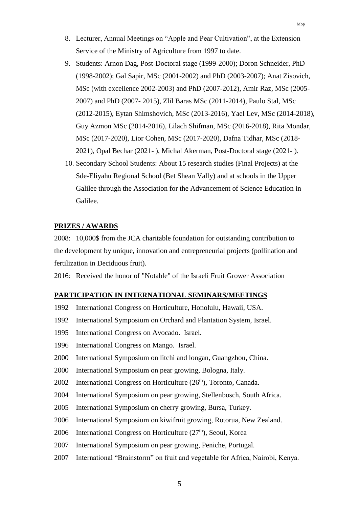- 8. Lecturer, Annual Meetings on "Apple and Pear Cultivation", at the Extension Service of the Ministry of Agriculture from 1997 to date.
- 9. Students: Arnon Dag, Post-Doctoral stage (1999-2000); Doron Schneider, PhD (1998-2002); Gal Sapir, MSc (2001-2002) and PhD (2003-2007); Anat Zisovich, MSc (with excellence 2002-2003) and PhD (2007-2012), Amir Raz, MSc (2005- 2007) and PhD (2007- 2015), Zlil Baras MSc (2011-2014), Paulo Stal, MSc (2012-2015), Eytan Shimshovich, MSc (2013-2016), Yael Lev, MSc (2014-2018), Guy Azmon MSc (2014-2016), Lilach Shifman, MSc (2016-2018), Rita Mondar, MSc (2017-2020), Lior Cohen, MSc (2017-2020), Dafna Tidhar, MSc (2018- 2021), Opal Bechar (2021- ), Michal Akerman, Post-Doctoral stage (2021- ).
- 10. Secondary School Students: About 15 research studies (Final Projects) at the Sde-Eliyahu Regional School (Bet Shean Vally) and at schools in the Upper Galilee through the Association for the Advancement of Science Education in Galilee.

## **PRIZES / AWARDS**

2008: 10,000\$ from the JCA charitable foundation for outstanding contribution to the development by unique, innovation and entrepreneurial projects (pollination and fertilization in Deciduous fruit).

2016: Received the honor of "Notable" of the Israeli Fruit Grower Association

### **PARTICIPATION IN INTERNATIONAL SEMINARS/MEETINGS**

- 1992 International Congress on Horticulture, Honolulu, Hawaii, USA.
- 1992 International Symposium on Orchard and Plantation System, Israel.
- 1995 International Congress on Avocado. Israel.
- 1996 International Congress on Mango. Israel.
- 2000 International Symposium on litchi and longan, Guangzhou, China.
- 2000 International Symposium on pear growing, Bologna, Italy.
- 2002 International Congress on Horticulture  $(26<sup>th</sup>)$ , Toronto, Canada.
- 2004 International Symposium on pear growing, Stellenbosch, South Africa.
- 2005 International Symposium on cherry growing, Bursa, Turkey.
- 2006 International Symposium on kiwifruit growing, Rotorua, New Zealand.
- 2006 International Congress on Horticulture (27<sup>th</sup>), Seoul, Korea
- 2007 International Symposium on pear growing, Peniche, Portugal.
- 2007 International "Brainstorm" on fruit and vegetable for Africa, Nairobi, Kenya.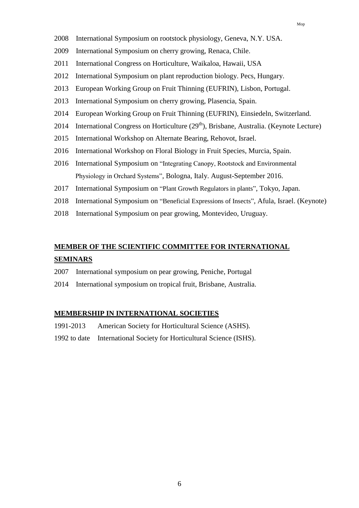- 2008 International Symposium on rootstock physiology, Geneva, N.Y. USA.
- 2009 International Symposium on cherry growing, Renaca, Chile.
- 2011 International Congress on Horticulture, Waikaloa, Hawaii, USA
- 2012 International Symposium on plant reproduction biology. Pecs, Hungary.
- 2013 European Working Group on Fruit Thinning (EUFRIN), Lisbon, Portugal.
- 2013 International Symposium on cherry growing, Plasencia, Spain.
- 2014 European Working Group on Fruit Thinning (EUFRIN), Einsiedeln, Switzerland.
- 2014 International Congress on Horticulture  $(29<sup>th</sup>)$ , Brisbane, Australia. (Keynote Lecture)
- 2015 International Workshop on Alternate Bearing, Rehovot, Israel.
- 2016 International Workshop on Floral Biology in Fruit Species, Murcia, Spain.
- 2016 International Symposium on "Integrating Canopy, Rootstock and Environmental Physiology in Orchard Systems", Bologna, Italy. August-September 2016.
- 2017 International Symposium on "Plant Growth Regulators in plants", Tokyo, Japan.
- 2018 International Symposium on "Beneficial Expressions of Insects", Afula, Israel. (Keynote)
- 2018 International Symposium on pear growing, Montevideo, Uruguay.

# **MEMBER OF THE SCIENTIFIC COMMITTEE FOR INTERNATIONAL SEMINARS**

- 2007 International symposium on pear growing, Peniche, Portugal
- 2014 International symposium on tropical fruit, Brisbane, Australia.

#### **MEMBERSHIP IN INTERNATIONAL SOCIETIES**

- 1991-2013 American Society for Horticultural Science (ASHS).
- 1992 to date International Society for Horticultural Science (ISHS).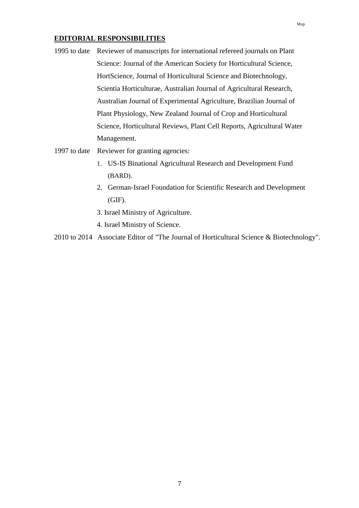## **EDITORIAL RESPONSIBILITIES**

- 1995 to date Reviewer of manuscripts for international refereed journals on Plant Science: Journal of the American Society for Horticultural Science, HortScience, Journal of Horticultural Science and Biotechnology, Scientia Horticulturae, Australian Journal of Agricultural Research, Australian Journal of Experimental Agriculture, Brazilian Journal of Plant Physiology, New Zealand Journal of Crop and Horticultural Science, Horticultural Reviews, Plant Cell Reports, Agricultural Water Management.
- 1997 to date Reviewer for granting agencies:
	- 1. US-IS Binational Agricultural Research and Development Fund (BARD).
	- 2. German-Israel Foundation for Scientific Research and Development (GIF).
	- 3. Israel Ministry of Agriculture.
	- 4. Israel Ministry of Science.

2010 to 2014 Associate Editor of "The Journal of Horticultural Science & Biotechnology".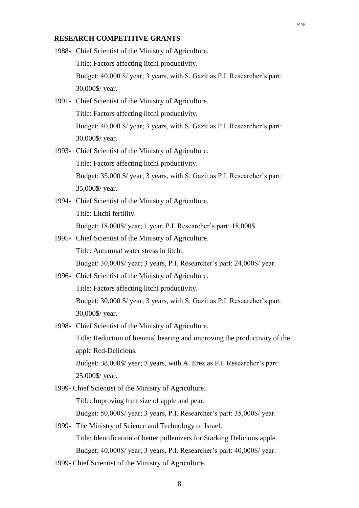#### **RESEARCH COMPETITIVE GRANTS**

- 1988- Chief Scientist of the Ministry of Agriculture. Title: Factors affecting litchi productivity. Budget: 40,000 \$/ year; 3 years, with S. Gazit as P.I. Researcher's part: 30,000\$/ year.
- 1991- Chief Scientist of the Ministry of Agriculture. Title: Factors affecting litchi productivity. Budget: 40,000 \$/ year; 3 years, with S. Gazit as P.I. Researcher's part: 30,000\$/ year.
- 1993- Chief Scientist of the Ministry of Agriculture. Title: Factors affecting litchi productivity. Budget: 35,000 \$/ year; 3 years, with S. Gazit as P.I. Researcher's part: 35,000\$/ year.
- 1994- Chief Scientist of the Ministry of Agriculture. Title: Litchi fertility. Budget: 18,000\$/ year; 1 year, P.I. Researcher's part: 18,000\$.
- 1995- Chief Scientist of the Ministry of Agriculture. Title: Autumnal water stress in litchi.
	- Budget: 30,000\$/ year; 3 years, P.I. Researcher's part: 24,000\$/ year.
- 1996- Chief Scientist of the Ministry of Agriculture. Title: Factors affecting litchi productivity. Budget: 30,000 \$/ year; 3 years, with S. Gazit as P.I. Researcher's part: 30,000\$/ year.
- 1998- Chief Scientist of the Ministry of Agriculture. Title: Reduction of biennial bearing and improving the productivity of the apple Red-Delicious. Budget: 38,000\$/ year; 3 years, with A. Erez as P.I. Researcher's part: 25,000\$/ year.
- 1999- Chief Scientist of the Ministry of Agriculture. Title: Improving fruit size of apple and pear. Budget: 50,000\$/ year; 3 years, P.I. Researcher's part: 35,000\$/ year.
- 1999- The Ministry of Science and Technology of Israel. Title: Identification of better pollenizers for Starking Delicious apple. Budget: 40,000\$/ year; 3 years, P.I. Researcher's part: 40,000\$/ year.
- 1999- Chief Scientist of the Ministry of Agriculture.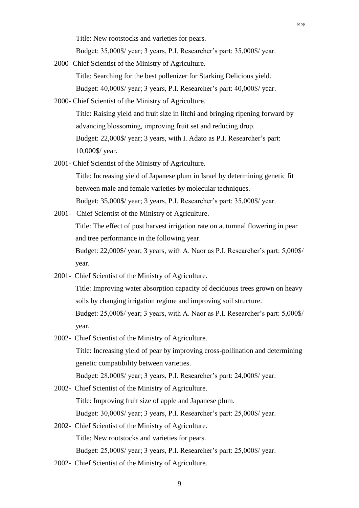Title: New rootstocks and varieties for pears.

Budget: 35,000\$/ year; 3 years, P.I. Researcher's part: 35,000\$/ year.

2000- Chief Scientist of the Ministry of Agriculture.

Title: Searching for the best pollenizer for Starking Delicious yield. Budget: 40,000\$/ year; 3 years, P.I. Researcher's part: 40,000\$/ year.

- 2000- Chief Scientist of the Ministry of Agriculture. Title: Raising yield and fruit size in litchi and bringing ripening forward by advancing blossoming, improving fruit set and reducing drop. Budget: 22,000\$/ year; 3 years, with I. Adato as P.I. Researcher's part: 10,000\$/ year.
- 2001- Chief Scientist of the Ministry of Agriculture.

Title: Increasing yield of Japanese plum in Israel by determining genetic fit between male and female varieties by molecular techniques. Budget: 35,000\$/ year; 3 years, P.I. Researcher's part: 35,000\$/ year.

2001- Chief Scientist of the Ministry of Agriculture.

Title: The effect of post harvest irrigation rate on autumnal flowering in pear and tree performance in the following year.

Budget: 22,000\$/ year; 3 years, with A. Naor as P.I. Researcher's part: 5,000\$/ year.

2001- Chief Scientist of the Ministry of Agriculture.

Title: Improving water absorption capacity of deciduous trees grown on heavy soils by changing irrigation regime and improving soil structure.

Budget: 25,000\$/ year; 3 years, with A. Naor as P.I. Researcher's part: 5,000\$/ year.

- 2002- Chief Scientist of the Ministry of Agriculture. Title: Increasing yield of pear by improving cross-pollination and determining genetic compatibility between varieties. Budget: 28,000\$/ year; 3 years, P.I. Researcher's part: 24,000\$/ year.
- 2002- Chief Scientist of the Ministry of Agriculture. Title: Improving fruit size of apple and Japanese plum. Budget: 30,000\$/ year; 3 years, P.I. Researcher's part: 25,000\$/ year.
- 2002- Chief Scientist of the Ministry of Agriculture. Title: New rootstocks and varieties for pears. Budget: 25,000\$/ year; 3 years, P.I. Researcher's part: 25,000\$/ year.
- 2002- Chief Scientist of the Ministry of Agriculture.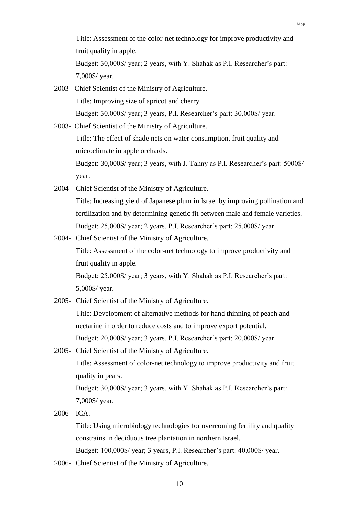Title: Assessment of the color-net technology for improve productivity and fruit quality in apple.

Budget: 30,000\$/ year; 2 years, with Y. Shahak as P.I. Researcher's part: 7,000\$/ year.

- 2003- Chief Scientist of the Ministry of Agriculture. Title: Improving size of apricot and cherry. Budget: 30,000\$/ year; 3 years, P.I. Researcher's part: 30,000\$/ year.
- 2003- Chief Scientist of the Ministry of Agriculture. Title: The effect of shade nets on water consumption, fruit quality and microclimate in apple orchards. Budget: 30,000\$/ year; 3 years, with J. Tanny as P.I. Researcher's part: 5000\$/ year.
- 2004- Chief Scientist of the Ministry of Agriculture. Title: Increasing yield of Japanese plum in Israel by improving pollination and fertilization and by determining genetic fit between male and female varieties. Budget: 25,000\$/ year; 2 years, P.I. Researcher's part: 25,000\$/ year.
- 2004- Chief Scientist of the Ministry of Agriculture. Title: Assessment of the color-net technology to improve productivity and

fruit quality in apple.

Budget: 25,000\$/ year; 3 years, with Y. Shahak as P.I. Researcher's part: 5,000\$/ year.

2005- Chief Scientist of the Ministry of Agriculture.

Title: Development of alternative methods for hand thinning of peach and nectarine in order to reduce costs and to improve export potential. Budget: 20,000\$/ year; 3 years, P.I. Researcher's part: 20,000\$/ year.

2005- Chief Scientist of the Ministry of Agriculture. Title: Assessment of color-net technology to improve productivity and fruit quality in pears. Budget: 30,000\$/ year; 3 years, with Y. Shahak as P.I. Researcher's part:

7,000\$/ year.

2006- ICA.

Title: Using microbiology technologies for overcoming fertility and quality constrains in deciduous tree plantation in northern Israel. Budget: 100,000\$/ year; 3 years, P.I. Researcher's part: 40,000\$/ year.

2006- Chief Scientist of the Ministry of Agriculture.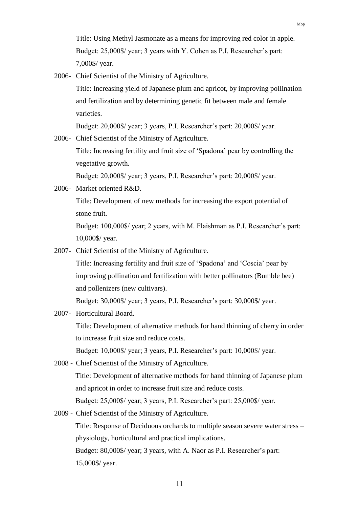Title: Using Methyl Jasmonate as a means for improving red color in apple. Budget: 25,000\$/ year; 3 years with Y. Cohen as P.I. Researcher's part: 7,000\$/ year.

2006- Chief Scientist of the Ministry of Agriculture.

Title: Increasing yield of Japanese plum and apricot, by improving pollination and fertilization and by determining genetic fit between male and female varieties.

Budget: 20,000\$/ year; 3 years, P.I. Researcher's part: 20,000\$/ year.

2006- Chief Scientist of the Ministry of Agriculture.

Title: Increasing fertility and fruit size of 'Spadona' pear by controlling the vegetative growth.

Budget: 20,000\$/ year; 3 years, P.I. Researcher's part: 20,000\$/ year.

2006- Market oriented R&D. Title: Development of new methods for increasing the export potential of stone fruit. Budget: 100,000\$/ year; 2 years, with M. Flaishman as P.I. Researcher's part:

10,000\$/ year.

- 2007- Chief Scientist of the Ministry of Agriculture. Title: Increasing fertility and fruit size of 'Spadona' and 'Coscia' pear by improving pollination and fertilization with better pollinators (Bumble bee) and pollenizers (new cultivars). Budget: 30,000\$/ year; 3 years, P.I. Researcher's part: 30,000\$/ year.
- 2007- Horticultural Board.

Title: Development of alternative methods for hand thinning of cherry in order to increase fruit size and reduce costs.

Budget: 10,000\$/ year; 3 years, P.I. Researcher's part: 10,000\$/ year.

2008 - Chief Scientist of the Ministry of Agriculture.

Title: Development of alternative methods for hand thinning of Japanese plum and apricot in order to increase fruit size and reduce costs.

Budget: 25,000\$/ year; 3 years, P.I. Researcher's part: 25,000\$/ year.

2009 - Chief Scientist of the Ministry of Agriculture.

Title: Response of Deciduous orchards to multiple season severe water stress – physiology, horticultural and practical implications.

Budget: 80,000\$/ year; 3 years, with A. Naor as P.I. Researcher's part: 15,000\$/ year.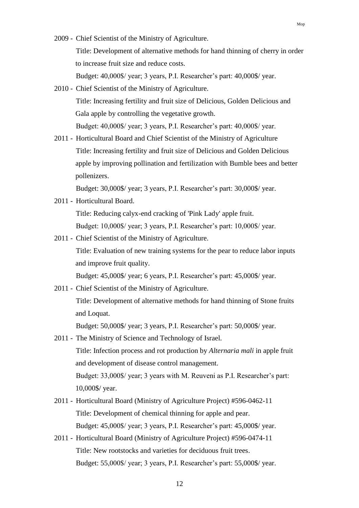2009 - Chief Scientist of the Ministry of Agriculture. Title: Development of alternative methods for hand thinning of cherry in order to increase fruit size and reduce costs. Budget: 40,000\$/ year; 3 years, P.I. Researcher's part: 40,000\$/ year.

Mop

- 2010 Chief Scientist of the Ministry of Agriculture. Title: Increasing fertility and fruit size of Delicious, Golden Delicious and Gala apple by controlling the vegetative growth. Budget: 40,000\$/ year; 3 years, P.I. Researcher's part: 40,000\$/ year.
- 2011 Horticultural Board and Chief Scientist of the Ministry of Agriculture Title: Increasing fertility and fruit size of Delicious and Golden Delicious apple by improving pollination and fertilization with Bumble bees and better pollenizers.

Budget: 30,000\$/ year; 3 years, P.I. Researcher's part: 30,000\$/ year.

2011 - Horticultural Board.

Title: Reducing calyx-end cracking of 'Pink Lady' apple fruit.

Budget: 10,000\$/ year; 3 years, P.I. Researcher's part: 10,000\$/ year.

2011 - Chief Scientist of the Ministry of Agriculture. Title: Evaluation of new training systems for the pear to reduce labor inputs and improve fruit quality.

Budget: 45,000\$/ year; 6 years, P.I. Researcher's part: 45,000\$/ year.

2011 - Chief Scientist of the Ministry of Agriculture.

Title: Development of alternative methods for hand thinning of Stone fruits and Loquat.

Budget: 50,000\$/ year; 3 years, P.I. Researcher's part: 50,000\$/ year.

- 2011 The Ministry of Science and Technology of Israel. Title: Infection process and rot production by *Alternaria mali* in apple fruit and development of disease control management. Budget: 33,000\$/ year; 3 years with M. Reuveni as P.I. Researcher's part: 10,000\$/ year.
- 2011 Horticultural Board (Ministry of Agriculture Project) #596-0462-11 Title: Development of chemical thinning for apple and pear. Budget: 45,000\$/ year; 3 years, P.I. Researcher's part: 45,000\$/ year.
- 2011 Horticultural Board (Ministry of Agriculture Project) #596-0474-11 Title: New rootstocks and varieties for deciduous fruit trees. Budget: 55,000\$/ year; 3 years, P.I. Researcher's part: 55,000\$/ year.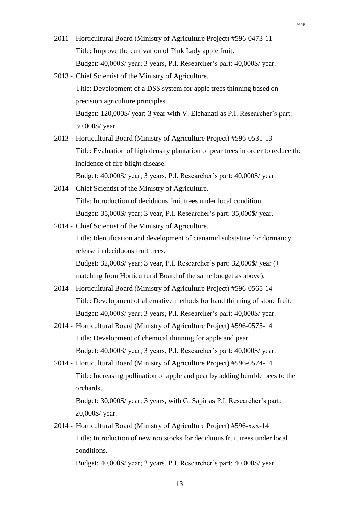- 2011 Horticultural Board (Ministry of Agriculture Project) #596-0473-11 Title: Improve the cultivation of Pink Lady apple fruit. Budget: 40,000\$/ year; 3 years, P.I. Researcher's part: 40,000\$/ year.
- 2013 Chief Scientist of the Ministry of Agriculture. Title: Development of a DSS system for apple trees thinning based on precision agriculture principles. Budget: 120,000\$/ year; 3 year with V. Elchanati as P.I. Researcher's part: 30,000\$/ year.
- 2013 Horticultural Board (Ministry of Agriculture Project) #596-0531-13 Title: Evaluation of high density plantation of pear trees in order to reduce the incidence of fire blight disease. Budget: 40,000\$/ year; 3 years, P.I. Researcher's part: 40,000\$/ year.
- 2014 Chief Scientist of the Ministry of Agriculture. Title: Introduction of deciduous fruit trees under local condition. Budget: 35,000\$/ year; 3 year, P.I. Researcher's part: 35,000\$/ year.
- 2014 Chief Scientist of the Ministry of Agriculture. Title: Identification and development of cianamid subststute for dormancy release in deciduous fruit trees. Budget: 32,000\$/ year; 3 year, P.I. Researcher's part: 32,000\$/ year (+ matching from Horticultural Board of the same budget as above).
- 2014 Horticultural Board (Ministry of Agriculture Project) #596-0565-14 Title: Development of alternative methods for hand thinning of stone fruit. Budget: 40,000\$/ year; 3 years, P.I. Researcher's part: 40,000\$/ year.
- 2014 Horticultural Board (Ministry of Agriculture Project) #596-0575-14 Title: Development of chemical thinning for apple and pear. Budget: 40,000\$/ year; 3 years, P.I. Researcher's part: 40,000\$/ year.
- 2014 Horticultural Board (Ministry of Agriculture Project) #596-0574-14 Title: Increasing pollination of apple and pear by adding bumble bees to the orchards.

Budget: 30,000\$/ year; 3 years, with G. Sapir as P.I. Researcher's part: 20,000\$/ year.

2014 - Horticultural Board (Ministry of Agriculture Project) #596-xxx-14 Title: Introduction of new rootstocks for deciduous fruit trees under local conditions.

Budget: 40,000\$/ year; 3 years, P.I. Researcher's part: 40,000\$/ year.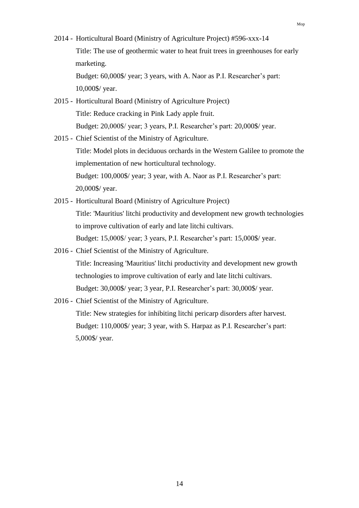2014 - Horticultural Board (Ministry of Agriculture Project) #596-xxx-14 Title: The use of geothermic water to heat fruit trees in greenhouses for early marketing. Budget: 60,000\$/ year; 3 years, with A. Naor as P.I. Researcher's part:

10,000\$/ year.

- 2015 Horticultural Board (Ministry of Agriculture Project) Title: Reduce cracking in Pink Lady apple fruit. Budget: 20,000\$/ year; 3 years, P.I. Researcher's part: 20,000\$/ year.
- 2015 Chief Scientist of the Ministry of Agriculture. Title: Model plots in deciduous orchards in the Western Galilee to promote the implementation of new horticultural technology. Budget: 100,000\$/ year; 3 year, with A. Naor as P.I. Researcher's part: 20,000\$/ year.
- 2015 Horticultural Board (Ministry of Agriculture Project) Title: 'Mauritius' litchi productivity and development new growth technologies to improve cultivation of early and late litchi cultivars. Budget: 15,000\$/ year; 3 years, P.I. Researcher's part: 15,000\$/ year.
- 2016 Chief Scientist of the Ministry of Agriculture. Title: Increasing 'Mauritius' litchi productivity and development new growth technologies to improve cultivation of early and late litchi cultivars. Budget: 30,000\$/ year; 3 year, P.I. Researcher's part: 30,000\$/ year.
- 2016 Chief Scientist of the Ministry of Agriculture. Title: New strategies for inhibiting litchi pericarp disorders after harvest.

Budget: 110,000\$/ year; 3 year, with S. Harpaz as P.I. Researcher's part: 5,000\$/ year.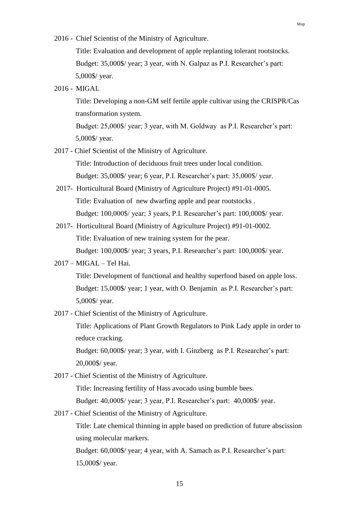2016 - Chief Scientist of the Ministry of Agriculture.

Title: Evaluation and development of apple replanting tolerant rootstocks. Budget: 35,000\$/ year; 3 year, with N. Galpaz as P.I. Researcher's part: 5,000\$/ year.

2016 - MIGAL

Title: Developing a non-GM self fertile apple cultivar using the CRISPR/Cas transformation system.

Budget: 25,000\$/ year; 3 year, with M. Goldway as P.I. Researcher's part: 5,000\$/ year.

2017 - Chief Scientist of the Ministry of Agriculture.

Title: Introduction of deciduous fruit trees under local condition. Budget: 35,000\$/ year; 6 year, P.I. Researcher's part: 35,000\$/ year.

- 2017- Horticultural Board (Ministry of Agriculture Project) #91-01-0005. Title: Evaluation of new dwarfing apple and pear rootstocks . Budget: 100,000\$/ year; 3 years, P.I. Researcher's part: 100,000\$/ year.
- 2017- Horticultural Board (Ministry of Agriculture Project) #91-01-0002. Title: Evaluation of new training system for the pear. Budget: 100,000\$/ year; 3 years, P.I. Researcher's part: 100,000\$/ year.
- 2017 MIGAL Tel Hai.

Title: Development of functional and healthy superfood based on apple loss. Budget: 15,000\$/ year; 1 year, with O. Benjamin as P.I. Researcher's part: 5,000\$/ year.

2017 - Chief Scientist of the Ministry of Agriculture.

Title: Applications of Plant Growth Regulators to Pink Lady apple in order to reduce cracking.

Budget: 60,000\$/ year; 3 year, with I. Ginzberg as P.I. Researcher's part: 20,000\$/ year.

- 2017 Chief Scientist of the Ministry of Agriculture. Title: Increasing fertility of Hass avocado using bumble bees. Budget: 40,000\$/ year; 3 year, P.I. Researcher's part: 40,000\$/ year.
- 2017 Chief Scientist of the Ministry of Agriculture.

Title: Late chemical thinning in apple based on prediction of future abscission using molecular markers.

Budget: 60,000\$/ year; 4 year, with A. Samach as P.I. Researcher's part: 15,000\$/ year.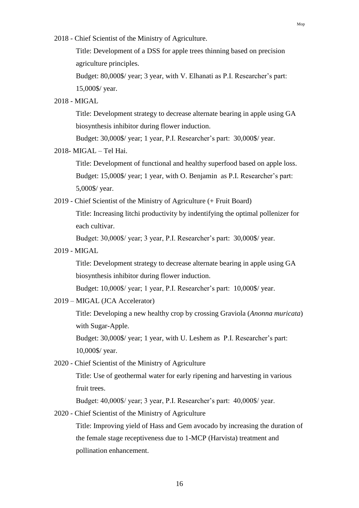2018 - Chief Scientist of the Ministry of Agriculture.

Title: Development of a DSS for apple trees thinning based on precision agriculture principles.

Budget: 80,000\$/ year; 3 year, with V. Elhanati as P.I. Researcher's part: 15,000\$/ year.

#### 2018 - MIGAL

Title: Development strategy to decrease alternate bearing in apple using GA biosynthesis inhibitor during flower induction.

Budget: 30,000\$/ year; 1 year, P.I. Researcher's part: 30,000\$/ year.

### 2018- MIGAL – Tel Hai.

Title: Development of functional and healthy superfood based on apple loss. Budget: 15,000\$/ year; 1 year, with O. Benjamin as P.I. Researcher's part: 5,000\$/ year.

2019 - Chief Scientist of the Ministry of Agriculture (+ Fruit Board)

Title: Increasing litchi productivity by indentifying the optimal pollenizer for each cultivar.

Budget: 30,000\$/ year; 3 year, P.I. Researcher's part: 30,000\$/ year.

2019 - MIGAL

Title: Development strategy to decrease alternate bearing in apple using GA biosynthesis inhibitor during flower induction.

Budget: 10,000\$/ year; 1 year, P.I. Researcher's part: 10,000\$/ year.

2019 – MIGAL (JCA Accelerator)

Title: Developing a new healthy crop by crossing Graviola (*Anonna muricata*) with Sugar-Apple.

Budget: 30,000\$/ year; 1 year, with U. Leshem as P.I. Researcher's part: 10,000\$/ year.

2020 - Chief Scientist of the Ministry of Agriculture

Title: Use of geothermal water for early ripening and harvesting in various fruit trees.

Budget: 40,000\$/ year; 3 year, P.I. Researcher's part: 40,000\$/ year.

2020 - Chief Scientist of the Ministry of Agriculture

Title: Improving yield of Hass and Gem avocado by increasing the duration of the female stage receptiveness due to 1-MCP (Harvista) treatment and pollination enhancement.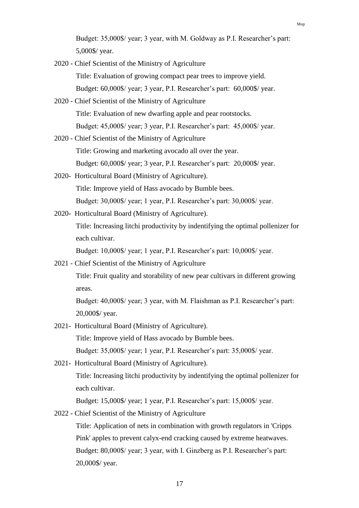- 2020 Chief Scientist of the Ministry of Agriculture Title: Evaluation of growing compact pear trees to improve yield. Budget: 60,000\$/ year; 3 year, P.I. Researcher's part: 60,000\$/ year.
- 2020 Chief Scientist of the Ministry of Agriculture Title: Evaluation of new dwarfing apple and pear rootstocks. Budget: 45,000\$/ year; 3 year, P.I. Researcher's part: 45,000\$/ year.
- 2020 Chief Scientist of the Ministry of Agriculture Title: Growing and marketing avocado all over the year. Budget: 60,000\$/ year; 3 year, P.I. Researcher's part: 20,000\$/ year.
- 2020- Horticultural Board (Ministry of Agriculture). Title: Improve yield of Hass avocado by Bumble bees. Budget: 30,000\$/ year; 1 year, P.I. Researcher's part: 30,000\$/ year.
- 2020- Horticultural Board (Ministry of Agriculture).

Title: Increasing litchi productivity by indentifying the optimal pollenizer for each cultivar.

Budget: 10,000\$/ year; 1 year, P.I. Researcher's part: 10,000\$/ year.

2021 - Chief Scientist of the Ministry of Agriculture

Title: Fruit quality and storability of new pear cultivars in different growing areas.

Budget: 40,000\$/ year; 3 year, with M. Flaishman as P.I. Researcher's part: 20,000\$/ year.

- 2021- Horticultural Board (Ministry of Agriculture). Title: Improve yield of Hass avocado by Bumble bees. Budget: 35,000\$/ year; 1 year, P.I. Researcher's part: 35,000\$/ year.
- 2021- Horticultural Board (Ministry of Agriculture). Title: Increasing litchi productivity by indentifying the optimal pollenizer for each cultivar.

Budget: 15,000\$/ year; 1 year, P.I. Researcher's part: 15,000\$/ year.

2022 - Chief Scientist of the Ministry of Agriculture

Title: Application of nets in combination with growth regulators in 'Cripps Pink' apples to prevent calyx-end cracking caused by extreme heatwaves. Budget: 80,000\$/ year; 3 year, with I. Ginzberg as P.I. Researcher's part: 20,000\$/ year.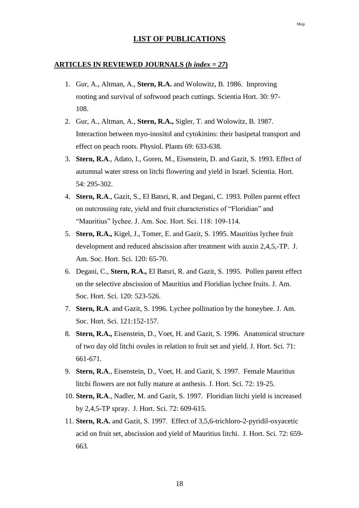### **LIST OF PUBLICATIONS**

#### **ARTICLES IN REVIEWED JOURNALS (***h index = 27***)**

- 1. Gur, A., Altman, A., **Stern, R.A.** and Wolowitz, B. 1986. Improving rooting and survival of softwood peach cuttings. Scientia Hort. 30: 97- 108.
- 2. Gur, A., Altman, A., **Stern, R.A.,** Sigler, T. and Wolowitz, B. 1987. Interaction between myo-inositol and cytokinins: their basipetal transport and effect on peach roots. Physiol. Plants 69: 633-638.
- 3. **Stern, R.A**., Adato, I., Goren, M., Eisenstein, D. and Gazit, S. 1993. Effect of autumnal water stress on litchi flowering and yield in Israel. Scientia. Hort. 54: 295-302.
- 4. **Stern, R.A**., Gazit, S., El Batsri, R. and Degani, C. 1993. Pollen parent effect on outcrossing rate, yield and fruit characteristics of "Floridian" and "Mauritius" lychee. J. Am. Soc. Hort. Sci. 118: 109-114.
- 5. **Stern, R.A.,** Kigel, J., Tomer, E. and Gazit, S. 1995. Mauritius lychee fruit development and reduced abscission after treatment with auxin 2,4,5,-TP. J. Am. Soc. Hort. Sci. 120: 65-70.
- 6. Degani, C., **Stern, R.A.,** El Batsri, R. and Gazit, S. 1995. Pollen parent effect on the selective abscission of Mauritius and Floridian lychee fruits. J. Am. Soc. Hort. Sci. 120: 523-526.
- 7. **Stern, R.A**. and Gazit, S. 1996. Lychee pollination by the honeybee. J. Am. Soc. Hort. Sci. 121:152-157.
- 8. **Stern, R.A.,** Eisenstein, D., Voet, H. and Gazit, S. 1996. Anatomical structure of two day old litchi ovules in relation to fruit set and yield. J. Hort. Sci. 71: 661-671.
- 9. **Stern, R.A**., Eisenstein, D., Voet, H. and Gazit, S. 1997. Female Mauritius litchi flowers are not fully mature at anthesis. J. Hort. Sci. 72: 19-25.
- 10. **Stern, R.A**., Nadler, M. and Gazit, S. 1997. Floridian litchi yield is increased by 2,4,5-TP spray. J. Hort. Sci. 72: 609-615.
- 11. **Stern, R.A.** and Gazit, S. 1997. Effect of 3,5,6-trichloro-2-pyridil-oxyacetic acid on fruit set, abscission and yield of Mauritius litchi. J. Hort. Sci. 72: 659- 663.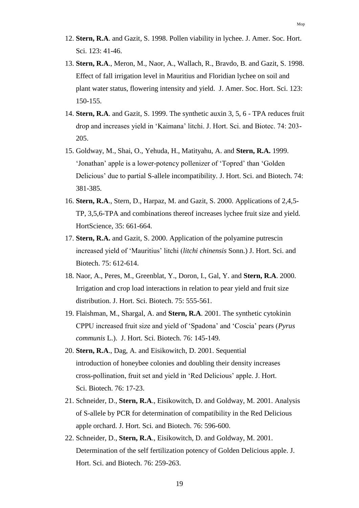- 12. **Stern, R.A**. and Gazit, S. 1998. Pollen viability in lychee. J. Amer. Soc. Hort. Sci. 123: 41-46.
- 13. **Stern, R.A**., Meron, M., Naor, A., Wallach, R., Bravdo, B. and Gazit, S. 1998. Effect of fall irrigation level in Mauritius and Floridian lychee on soil and plant water status, flowering intensity and yield. J. Amer. Soc. Hort. Sci. 123: 150-155.
- 14. **Stern, R.A**. and Gazit, S. 1999. The synthetic auxin 3, 5, 6 TPA reduces fruit drop and increases yield in 'Kaimana' litchi. J. Hort. Sci. and Biotec. 74: 203- 205.
- 15. Goldway, M., Shai, O., Yehuda, H., Matityahu, A. and **Stern, R.A.** 1999. 'Jonathan' apple is a lower-potency pollenizer of 'Topred' than 'Golden Delicious' due to partial S-allele incompatibility. J. Hort. Sci. and Biotech. 74: 381-385.
- 16. **Stern, R.A**., Stern, D., Harpaz, M. and Gazit, S. 2000. Applications of 2,4,5- TP, 3,5,6-TPA and combinations thereof increases lychee fruit size and yield. HortScience, 35: 661-664.
- 17. **Stern, R.A.** and Gazit, S. 2000. Application of the polyamine putrescin increased yield of 'Mauritius' litchi (*litchi chinensis* Sonn.) J. Hort. Sci. and Biotech. 75: 612-614.
- 18. Naor, A., Peres, M., Greenblat, Y., Doron, I., Gal, Y. and **Stern, R.A**. 2000. Irrigation and crop load interactions in relation to pear yield and fruit size distribution. J. Hort. Sci. Biotech. 75: 555-561.
- 19. Flaishman, M., Shargal, A. and **Stern, R.A**. 2001. The synthetic cytokinin CPPU increased fruit size and yield of 'Spadona' and 'Coscia' pears (*Pyrus communis* L.). J. Hort. Sci. Biotech. 76: 145-149.
- 20. **Stern, R.A**., Dag, A. and Eisikowitch, D. 2001. Sequential introduction of honeybee colonies and doubling their density increases cross-pollination, fruit set and yield in 'Red Delicious' apple. J. Hort. Sci. Biotech. 76: 17-23.
- 21. Schneider, D., **Stern, R.A**., Eisikowitch, D. and Goldway, M. 2001. Analysis of S-allele by PCR for determination of compatibility in the Red Delicious apple orchard. J. Hort. Sci. and Biotech. 76: 596-600.
- 22. Schneider, D., **Stern, R.A**., Eisikowitch, D. and Goldway, M. 2001. Determination of the self fertilization potency of Golden Delicious apple. J. Hort. Sci. and Biotech. 76: 259-263.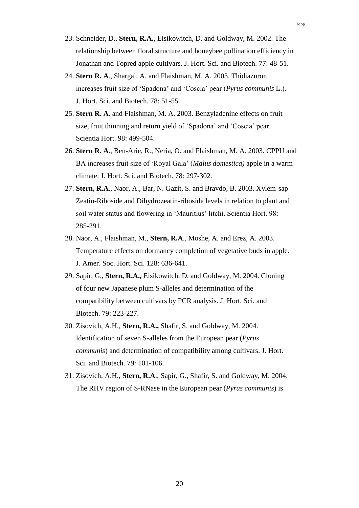- 23. Schneider, D., **Stern, R.A.**, Eisikowitch, D. and Goldway, M. 2002. The relationship between floral structure and honeybee pollination efficiency in Jonathan and Topred apple cultivars. J. Hort. Sci. and Biotech. 77: 48-51.
- 24. **Stern R. A**., Shargal, A. and Flaishman, M. A. 2003. Thidiazuron increases fruit size of 'Spadona' and 'Coscia' pear (*Pyrus communis* L.). J. Hort. Sci. and Biotech. 78: 51-55.
- 25. **Stern R. A**. and Flaishman, M. A. 2003. Benzyladenine effects on fruit size, fruit thinning and return yield of 'Spadona' and 'Coscia' pear. Scientia Hort. 98: 499-504.
- 26. **Stern R. A**., Ben-Arie, R., Neria, O. and Flaishman, M. A. 2003. CPPU and BA increases fruit size of 'Royal Gala' (*Malus domestica)* apple in a warm climate. J. Hort. Sci. and Biotech. 78: 297-302.
- 27. **Stern, R.A**., Naor, A., Bar, N. Gazit, S. and Bravdo, B. 2003. Xylem-sap Zeatin-Riboside and Dihydrozeatin-riboside levels in relation to plant and soil water status and flowering in 'Mauritius' litchi. Scientia Hort. 98: 285-291.
- 28. Naor, A., Flaishman, M., **Stern, R.A**., Moshe, A. and Erez, A. 2003. Temperature effects on dormancy completion of vegetative buds in apple. J. Amer. Soc. Hort. Sci. 128: 636-641.
- 29. Sapir, G., **Stern, R.A.,** Eisikowitch, D. and Goldway, M. 2004. Cloning of four new Japanese plum S-alleles and determination of the compatibility between cultivars by PCR analysis. J. Hort. Sci. and Biotech. 79: 223-227.
- 30. Zisovich, A.H., **Stern, R.A.,** Shafir, S. and Goldway, M. 2004. Identification of seven S-alleles from the European pear (*Pyrus communis*) and determination of compatibility among cultivars. J. Hort. Sci. and Biotech. 79: 101-106.
- 31. Zisovich, A.H., **Stern, R.A**., Sapir, G., Shafir, S. and Goldway, M. 2004. The RHV region of S-RNase in the European pear (*Pyrus communis*) is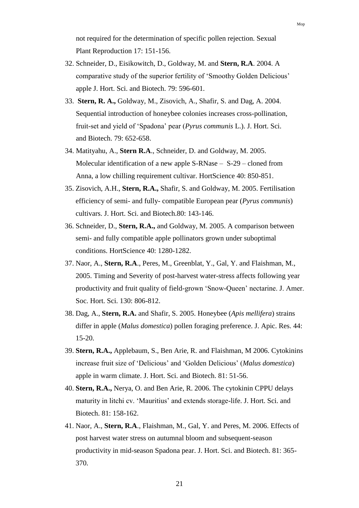not required for the determination of specific pollen rejection. Sexual Plant Reproduction 17: 151-156.

- 32. Schneider, D., Eisikowitch, D., Goldway, M. and **Stern, R.A**. 2004. A comparative study of the superior fertility of 'Smoothy Golden Delicious' apple J. Hort. Sci. and Biotech. 79: 596-601.
- 33. **Stern, R. A.,** Goldway, M., Zisovich, A., Shafir, S. and Dag, A. 2004. Sequential introduction of honeybee colonies increases cross-pollination, fruit-set and yield of 'Spadona' pear (*Pyrus communis* L.). J. Hort. Sci. and Biotech. 79: 652-658.
- 34. Matityahu, A., **Stern R.A**., Schneider, D. and Goldway, M. 2005. Molecular identification of a new apple S-RNase – S-29 – cloned from Anna, a low chilling requirement cultivar. HortScience 40: 850-851.
- 35. Zisovich, A.H., **Stern, R.A.,** Shafir, S. and Goldway, M. 2005. Fertilisation efficiency of semi- and fully- compatible European pear (*Pyrus communis*) cultivars. J. Hort. Sci. and Biotech.80: 143-146.
- 36. Schneider, D., **Stern, R.A.,** and Goldway, M. 2005. A comparison between semi- and fully compatible apple pollinators grown under suboptimal conditions. HortScience 40: 1280-1282.
- 37. Naor, A., **Stern, R.A**., Peres, M., Greenblat, Y., Gal, Y. and Flaishman, M., 2005. Timing and Severity of post-harvest water-stress affects following year productivity and fruit quality of field-grown 'Snow-Queen' nectarine. J. Amer. Soc. Hort. Sci. 130: 806-812.
- 38. Dag, A., **Stern, R.A.** and Shafir, S. 2005. Honeybee (*Apis mellifera*) strains differ in apple (*Malus domestica*) pollen foraging preference. J. Apic. Res. 44: 15-20.
- 39. **Stern, R.A.,** Applebaum, S., Ben Arie, R. and Flaishman, M 2006. Cytokinins increase fruit size of 'Delicious' and 'Golden Delicious' (*Malus domestica*) apple in warm climate. J. Hort. Sci. and Biotech. 81: 51-56.
- 40. **Stern, R.A.,** Nerya, O. and Ben Arie, R. 2006. The cytokinin CPPU delays maturity in litchi cv. 'Mauritius' and extends storage-life. J. Hort. Sci. and Biotech. 81: 158-162.
- 41. Naor, A., **Stern, R.A**., Flaishman, M., Gal, Y. and Peres, M. 2006. Effects of post harvest water stress on autumnal bloom and subsequent-season productivity in mid-season Spadona pear. J. Hort. Sci. and Biotech. 81: 365- 370.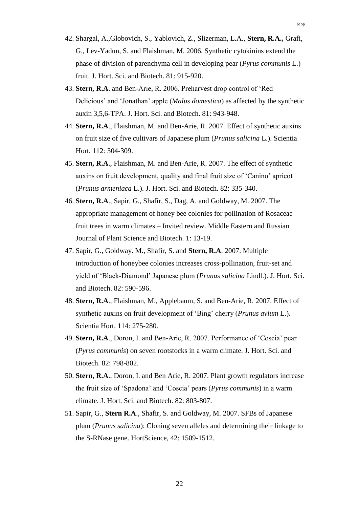- 42. Shargal, A.,Globovich, S., Yablovich, Z., Slizerman, L.A., **Stern, R.A.,** Grafi, G., Lev-Yadun, S. and Flaishman, M. 2006. Synthetic cytokinins extend the phase of division of parenchyma cell in developing pear (*Pyrus communis* L.) fruit. J. Hort. Sci. and Biotech. 81: 915-920.
- 43. **Stern, R.A**. and Ben-Arie, R. 2006. Preharvest drop control of 'Red Delicious' and 'Jonathan' apple (*Malus domestica*) as affected by the synthetic auxin 3,5,6-TPA. J. Hort. Sci. and Biotech. 81: 943-948.
- 44. **Stern, R.A**., Flaishman, M. and Ben-Arie, R. 2007. Effect of synthetic auxins on fruit size of five cultivars of Japanese plum (*Prunus salicina* L.). Scientia Hort. 112: 304-309.
- 45. **Stern, R.A**., Flaishman, M. and Ben-Arie, R. 2007. The effect of synthetic auxins on fruit development, quality and final fruit size of 'Canino' apricot (*Prunus armeniaca* L.). J. Hort. Sci. and Biotech. 82: 335-340.
- 46. **Stern, R.A**., Sapir, G., Shafir, S., Dag, A. and Goldway, M. 2007. The appropriate management of honey bee colonies for pollination of Rosaceae fruit trees in warm climates – Invited review. Middle Eastern and Russian Journal of Plant Science and Biotech. 1: 13-19.
- 47. Sapir, G., Goldway. M., Shafir, S. and **Stern, R.A**. 2007. Multiple introduction of honeybee colonies increases cross-pollination, fruit-set and yield of 'Black-Diamond' Japanese plum (*Prunus salicina* Lindl.). J. Hort. Sci. and Biotech. 82: 590-596.
- 48. **Stern, R.A**., Flaishman, M., Applebaum, S. and Ben-Arie, R. 2007. Effect of synthetic auxins on fruit development of 'Bing' cherry (*Prunus avium* L.). Scientia Hort. 114: 275-280.
- 49. **Stern, R.A**., Doron, I. and Ben-Arie, R. 2007. Performance of 'Coscia' pear (*Pyrus communis*) on seven rootstocks in a warm climate. J. Hort. Sci. and Biotech. 82: 798-802.
- 50. **Stern, R.A**., Doron, I. and Ben Arie, R. 2007. Plant growth regulators increase the fruit size of 'Spadona' and 'Coscia' pears (*Pyrus communis*) in a warm climate. J. Hort. Sci. and Biotech. 82: 803-807.
- 51. Sapir, G., **Stern R.A**., Shafir, S. and Goldway, M. 2007. SFBs of Japanese plum (*Prunus salicina*): Cloning seven alleles and determining their linkage to the S-RNase gene. HortScience, 42: 1509-1512.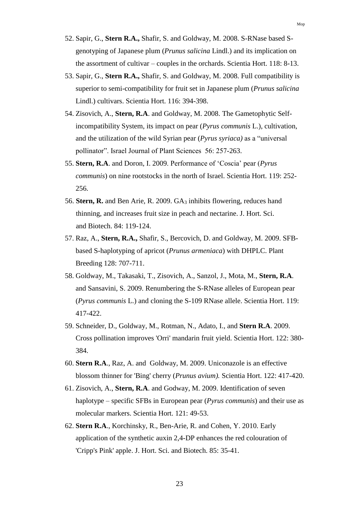- 52. Sapir, G., **Stern R.A.,** Shafir, S. and Goldway, M. 2008. S-RNase based Sgenotyping of Japanese plum (*Prunus salicina* Lindl.) and its implication on the assortment of cultivar – couples in the orchards. Scientia Hort. 118: 8-13.
- 53. Sapir, G., **Stern R.A.,** Shafir, S. and Goldway, M. 2008. Full compatibility is superior to semi-compatibility for fruit set in Japanese plum (*Prunus salicina* Lindl.) cultivars. Scientia Hort. 116: 394-398.
- 54. Zisovich, A., **Stern, R.A**. and Goldway, M. 2008. The Gametophytic Selfincompatibility System, its impact on pear (*Pyrus communis* L.), cultivation, and the utilization of the wild Syrian pear (*Pyrus syriaca)* as a "universal pollinator". Israel Journal of Plant Sciences 56: 257-263.
- 55. **Stern, R.A**. and Doron, I. 2009. Performance of 'Coscia' pear (*Pyrus communis*) on nine rootstocks in the north of Israel. Scientia Hort. 119: 252- 256.
- 56. **Stern, R.** and Ben Arie, R. 2009. GA<sup>3</sup> inhibits flowering, reduces hand thinning, and increases fruit size in peach and nectarine. J. Hort. Sci. and Biotech. 84: 119-124.
- 57. Raz, A., **Stern, R.A.,** Shafir, S., Bercovich, D. and Goldway, M. 2009. SFBbased S-haplotyping of apricot (*Prunus armeniaca*) with DHPLC. Plant Breeding 128: 707-711.
- 58. Goldway, M., Takasaki, T., Zisovich, A., Sanzol, J., Mota, M., **Stern, R.A**. and Sansavini, S. 2009. Renumbering the S-RNase alleles of European pear (*Pyrus communis* L.) and cloning the S-109 RNase allele. Scientia Hort. 119: 417-422.
- 59. Schneider, D., Goldway, M., Rotman, N., Adato, I., and **Stern R.A**. 2009. Cross pollination improves 'Orri' mandarin fruit yield. Scientia Hort. 122: 380- 384.
- 60. **Stern R.A**., Raz, A. and Goldway, M. 2009. Uniconazole is an effective blossom thinner for 'Bing' cherry (*Prunus avium).* Scientia Hort. 122: 417-420.
- 61. Zisovich, A., **Stern, R.A**. and Godway, M. 2009. Identification of seven haplotype – specific SFBs in European pear (*Pyrus communis*) and their use as molecular markers. Scientia Hort. 121: 49-53.
- 62. **Stern R.A**., Korchinsky, R., Ben-Arie, R. and Cohen, Y. 2010. Early application of the synthetic auxin 2,4-DP enhances the red colouration of 'Cripp's Pink' apple. J. Hort. Sci. and Biotech. 85: 35-41.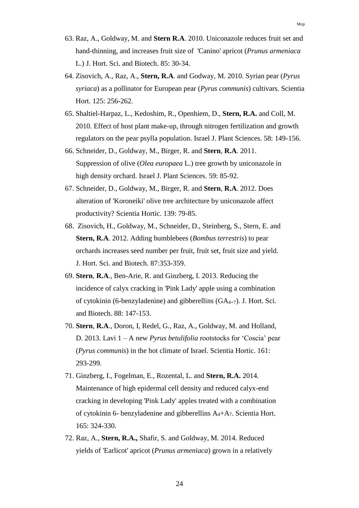- 63. Raz, A., Goldway, M. and **Stern R.A**. 2010. Uniconazole reduces fruit set and hand-thinning, and increases fruit size of 'Canino' apricot (*Prunus armeniaca* L.) J. Hort. Sci. and Biotech. 85: 30-34.
- 64. Zisovich, A., Raz, A., **Stern, R.A**. and Godway, M. 2010. Syrian pear (*Pyrus syriaca*) as a pollinator for European pear (*Pyrus communis*) cultivars. Scientia Hort. 125: 256-262.
- 65. Shaltiel-Harpaz, L., Kedoshim, R., Openhiem, D., **Stern, R.A.** and Coll, M. 2010. Effect of host plant make-up, through nitrogen fertilization and growth regulators on the pear psylla population. Israel J. Plant Sciences. 58: 149-156.
- 66. Schneider, D., Goldway, M., Birger, R. and **Stern**, **R.A**. 2011. Suppression of olive (*Olea europaea* L.) tree growth by uniconazole in high density orchard. Israel J. Plant Sciences. 59: 85-92.
- 67. Schneider, D., Goldway, M., Birger, R. and **Stern**, **R.A**. 2012. Does alteration of 'Koroneiki' olive tree architecture by uniconazole affect productivity? Scientia Hortic. 139: 79-85.
- 68. Zisovich, H., Goldway, M., Schneider, D., Steinberg, S., Stern, E. and **Stern, R.A**. 2012. Adding bumblebees (*Bombus terrestris*) to pear orchards increases seed number per fruit, fruit set, fruit size and yield. J. Hort. Sci. and Biotech. 87:353-359.
- 69. **Stern**, **R.A**., Ben-Arie, R. and Ginzberg, I. 2013. Reducing the incidence of calyx cracking in 'Pink Lady' apple using a combination of cytokinin (6-benzyladenine) and gibberellins (GA4+7). J. Hort. Sci. and Biotech. 88: 147-153.
- 70. **Stern**, **R.A**., Doron, I, Redel, G., Raz, A., Goldway, M. and Holland, D. 2013. Lavi 1 – A new *Pyrus betulifolia* rootstocks for 'Coscia' pear (*Pyrus communis*) in the hot climate of Israel. Scientia Hortic. 161: 293-299.
- 71. Ginzberg, I., Fogelman, E., Rozental, L. and **Stern, R.A.** 2014. Maintenance of high epidermal cell density and reduced calyx-end cracking in developing 'Pink Lady' apples treated with a combination of cytokinin 6- benzyladenine and gibberellins A4+A7. Scientia Hort. 165: 324-330.
- 72. Raz, A., **Stern, R.A.,** Shafir, S. and Goldway, M. 2014. Reduced yields of 'Earlicot' apricot (*Prunus armeniaca*) grown in a relatively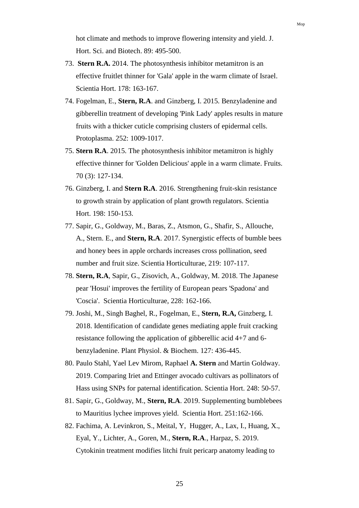hot climate and methods to improve flowering intensity and yield. J. Hort. Sci. and Biotech. 89: 495-500.

- 73. **Stern R.A.** 2014. The photosynthesis inhibitor metamitron is an effective fruitlet thinner for 'Gala' apple in the warm climate of Israel. Scientia Hort. 178: 163-167.
- 74. Fogelman, E., **Stern, R.A**. and Ginzberg, I. 2015. Benzyladenine and gibberellin treatment of developing 'Pink Lady' apples results in mature fruits with a thicker cuticle comprising clusters of epidermal cells. Protoplasma. 252: 1009-1017.
- 75. **Stern R.A**. 2015. The photosynthesis inhibitor metamitron is highly effective thinner for 'Golden Delicious' apple in a warm climate. Fruits. 70 (3): 127-134.
- 76. Ginzberg, I. and **Stern R.A**. 2016. Strengthening fruit-skin resistance to growth strain by application of plant growth regulators. Scientia Hort. 198: 150-153.
- 77. Sapir, G., Goldway, M., Baras, Z., Atsmon, G., Shafir, S., Allouche, A., Stern. E., and **Stern, R.A**. 2017. Synergistic effects of bumble bees and honey bees in apple orchards increases cross pollination, seed number and fruit size. Scientia Horticulturae, 219: 107-117.
- 78. **Stern, R.A**, Sapir, G., Zisovich, A., Goldway, M. 2018. The Japanese pear 'Hosui' improves the fertility of European pears 'Spadona' and 'Coscia'. Scientia Horticulturae, 228: 162-166.
- 79. Joshi, M., Singh Baghel, R., Fogelman, E., **Stern, R.A,** Ginzberg, I. 2018. Identification of candidate genes mediating apple fruit cracking resistance following the application of gibberellic acid 4+7 and 6 benzyladenine. Plant Physiol. & Biochem. 127: 436-445.
- 80. Paulo Stahl, Yael Lev Mirom, Raphael **A. Stern** and Martin Goldway. 2019. Comparing Iriet and Ettinger avocado cultivars as pollinators of Hass using SNPs for paternal identification. Scientia Hort. 248: 50-57.
- 81. Sapir, G., Goldway, M., **Stern, R.A**. 2019. Supplementing bumblebees to Mauritius lychee improves yield. Scientia Hort. 251:162-166.
- 82. Fachima, A. Levinkron, S., Meital, Y, Hugger, A., Lax, I., Huang, X., Eyal, Y., Lichter, A., Goren, M., **Stern, R.A**., Harpaz, S. 2019. Cytokinin treatment modifies litchi fruit pericarp anatomy leading to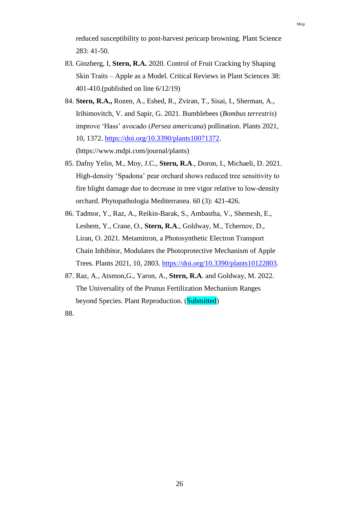reduced susceptibility to post-harvest pericarp browning. Plant Science 283: 41-50.

- 83. Ginzberg, I, **Stern, R.A.** 2020. Control of Fruit Cracking by Shaping Skin Traits – Apple as a Model. Critical Reviews in Plant Sciences 38: 401-410.(published on line 6/12/19)
- 84. **Stern, R.A.,** Rozen, A., Eshed, R., Zviran, T., Sisai, I., Sherman, A., Irihimovitch, V. and Sapir, G. 2021. Bumblebees (*Bombus terrestris*) improve 'Hass' avocado (*Persea americana*) pollination. Plants 2021, 10, 1372. [https://doi.org/10.3390/plants10071372.](https://doi.org/10.3390/plants10071372) (https://www.mdpi.com/journal/plants)
- 85. Dafny Yelin, M., Moy, J.C., **Stern, R.A**., Doron, I., Michaeli, D. 2021. High-density 'Spadona' pear orchard shows reduced tree sensitivity to fire blight damage due to decrease in tree vigor relative to low-density orchard. Phytopathologia Mediterranea. 60 (3): 421-426.
- 86. Tadmor, Y., Raz, A., Reikin-Barak, S., Ambastha, V., Shemesh, E., Leshem, Y., Crane, O., **Stern, R.A**., Goldway, M., Tchernov, D., Liran, O. 2021. Metamitron, a Photosynthetic Electron Transport Chain Inhibitor, Modulates the Photoprotective Mechanism of Apple Trees. Plants 2021, 10, 2803. [https://doi.org/10.3390/plants10122803.](https://doi.org/10.3390/plants10122803)
- 87. Raz, A., Atsmon,G., Yaron, A., **Stern, R.A**. and Goldway, M. 2022. The Universality of the Prunus Fertilization Mechanism Ranges beyond Species. Plant Reproduction. (Submitted)

88.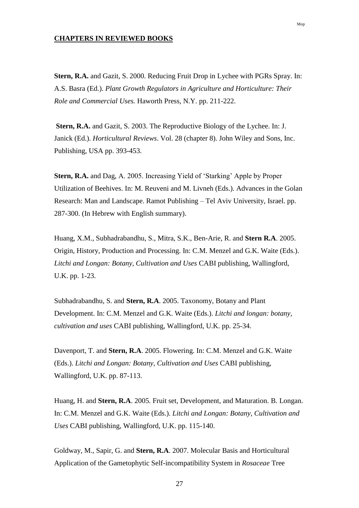#### **CHAPTERS IN REVIEWED BOOKS**

**Stern, R.A.** and Gazit, S. 2000. Reducing Fruit Drop in Lychee with PGRs Spray. In: A.S. Basra (Ed.). *Plant Growth Regulators in Agriculture and Horticulture: Their Role and Commercial Uses.* Haworth Press, N.Y. pp. 211-222.

**Stern, R.A.** and Gazit, S. 2003. The Reproductive Biology of the Lychee. In: J. Janick (Ed.). *Horticultural Reviews*. Vol. 28 (chapter 8). John Wiley and Sons, Inc. Publishing, USA pp. 393-453.

**Stern, R.A.** and Dag, A. 2005. Increasing Yield of 'Starking' Apple by Proper Utilization of Beehives. In: M. Reuveni and M. Livneh (Eds.). Advances in the Golan Research: Man and Landscape. Ramot Publishing – Tel Aviv University, Israel. pp. 287-300. (In Hebrew with English summary).

Huang, X.M., Subhadrabandhu, S., Mitra, S.K., Ben-Arie, R. and **Stern R.A**. 2005. Origin, History, Production and Processing. In: C.M. Menzel and G.K. Waite (Eds.). *Litchi and Longan: Botany, Cultivation and Uses* CABI publishing, Wallingford, U.K. pp. 1-23.

Subhadrabandhu, S. and **Stern, R.A**. 2005. Taxonomy, Botany and Plant Development. In: C.M. Menzel and G.K. Waite (Eds.). *Litchi and longan: botany, cultivation and uses* CABI publishing, Wallingford, U.K. pp. 25-34.

Davenport, T. and **Stern, R.A**. 2005. Flowering. In: C.M. Menzel and G.K. Waite (Eds.). *Litchi and Longan: Botany, Cultivation and Uses* CABI publishing, Wallingford, U.K. pp. 87-113.

Huang, H. and **Stern, R.A**. 2005. Fruit set, Development, and Maturation. B. Longan. In: C.M. Menzel and G.K. Waite (Eds.). *Litchi and Longan: Botany, Cultivation and Uses* CABI publishing, Wallingford, U.K. pp. 115-140.

Goldway, M., Sapir, G. and **Stern, R.A**. 2007. Molecular Basis and Horticultural Application of the Gametophytic Self-incompatibility System in *Rosaceae* Tree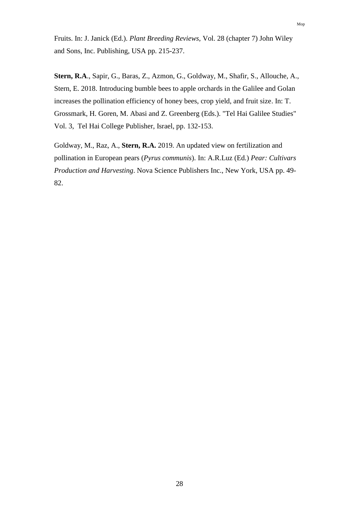Fruits. In: J. Janick (Ed.). *Plant Breeding Reviews,* Vol. 28 (chapter 7) John Wiley and Sons, Inc. Publishing, USA pp. 215-237.

**Stern, R.A**., Sapir, G., Baras, Z., Azmon, G., Goldway, M., Shafir, S., Allouche, A., Stern, E. 2018. Introducing bumble bees to apple orchards in the Galilee and Golan increases the pollination efficiency of honey bees, crop yield, and fruit size. In: T. Grossmark, H. Goren, M. Abasi and Z. Greenberg (Eds.). "Tel Hai Galilee Studies" Vol. 3, Tel Hai College Publisher, Israel, pp. 132-153.

Goldway, M., Raz, A., **Stern, R.A.** 2019. An updated view on fertilization and pollination in European pears (*Pyrus communis*). In: A.R.Luz (Ed.) *Pear: Cultivars Production and Harvesting*. Nova Science Publishers Inc., New York, USA pp. 49- 82.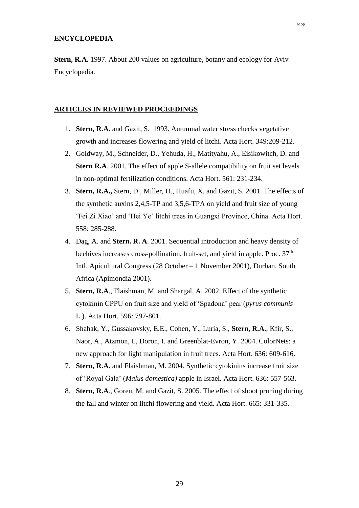#### **ENCYCLOPEDIA**

**Stern, R.A.** 1997. About 200 values on agriculture, botany and ecology for Aviv Encyclopedia.

#### **ARTICLES IN REVIEWED PROCEEDINGS**

- 1. **Stern, R.A.** and Gazit, S. 1993. Autumnal water stress checks vegetative growth and increases flowering and yield of litchi. Acta Hort. 349:209-212.
- 2. Goldway, M., Schneider, D., Yehuda, H., Matityahu, A., Eisikowitch, D. and **Stern R.A**. 2001. The effect of apple S-allele compatibility on fruit set levels in non-optimal fertilization conditions. Acta Hort. 561: 231-234.
- 3. **Stern, R.A.,** Stern, D., Miller, H., Huafu, X. and Gazit, S. 2001. The effects of the synthetic auxins 2,4,5-TP and 3,5,6-TPA on yield and fruit size of young 'Fei Zi Xiao' and 'Hei Ye' litchi trees in Guangxi Province, China. Acta Hort. 558: 285-288.
- 4. Dag, A. and **Stern. R. A**. 2001. Sequential introduction and heavy density of beehives increases cross-pollination, fruit-set, and yield in apple. Proc. 37<sup>th</sup> Intl. Apicultural Congress (28 October – 1 November 2001), Durban, South Africa (Apimondia 2001).
- 5. **Stern, R.A**., Flaishman, M. and Shargal, A. 2002. Effect of the synthetic cytokinin CPPU on fruit size and yield of 'Spadona' pear (*pyrus communis*  L.). Acta Hort. 596: 797-801.
- 6. Shahak, Y., Gussakovsky, E.E., Cohen, Y., Luria, S., **Stern, R.A.**, Kfir, S., Naor, A., Atzmon, I., Doron, I. and Greenblat-Evron, Y. 2004. ColorNets: a new approach for light manipulation in fruit trees. Acta Hort. 636: 609-616.
- 7. **Stern, R.A.** and Flaishman, M. 2004. Synthetic cytokinins increase fruit size of 'Royal Gala' (*Malus domestica)* apple in Israel. Acta Hort. 636: 557-563.
- 8. **Stern, R.A**., Goren, M. and Gazit, S. 2005. The effect of shoot pruning during the fall and winter on litchi flowering and yield. Acta Hort. 665: 331-335.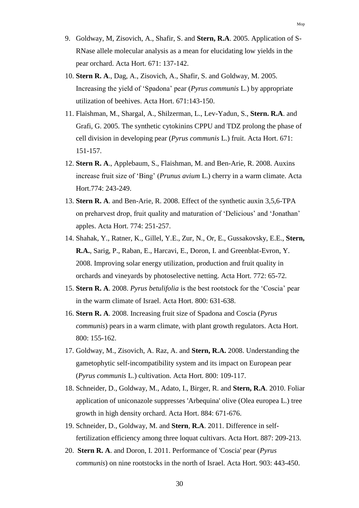- 9. Goldway, M, Zisovich, A., Shafir, S. and **Stern, R.A**. 2005. Application of S-RNase allele molecular analysis as a mean for elucidating low yields in the pear orchard. Acta Hort. 671: 137-142.
- 10. **Stern R. A**., Dag, A., Zisovich, A., Shafir, S. and Goldway, M. 2005. Increasing the yield of 'Spadona' pear (*Pyrus communis* L.) by appropriate utilization of beehives. Acta Hort. 671:143-150.
- 11. Flaishman, M., Shargal, A., Shilzerman, L., Lev-Yadun, S., **Stern. R.A**. and Grafi, G. 2005. The synthetic cytokinins CPPU and TDZ prolong the phase of cell division in developing pear (*Pyrus communis* L.) fruit. Acta Hort. 671: 151-157.
- 12. **Stern R. A**., Applebaum, S., Flaishman, M. and Ben-Arie, R. 2008. Auxins increase fruit size of 'Bing' (*Prunus avium* L.) cherry in a warm climate. Acta Hort.774: 243-249.
- 13. **Stern R. A**. and Ben-Arie, R. 2008. Effect of the synthetic auxin 3,5,6-TPA on preharvest drop, fruit quality and maturation of 'Delicious' and 'Jonathan' apples. Acta Hort. 774: 251-257.
- 14. Shahak, Y., Ratner, K., Gillel, Y.E., Zur, N., Or, E., Gussakovsky, E.E., **Stern, R.A.**, Sarig, P., Raban, E., Harcavi, E., Doron, I. and Greenblat-Evron, Y. 2008. Improving solar energy utilization, production and fruit quality in orchards and vineyards by photoselective netting. Acta Hort. 772: 65-72.
- 15. **Stern R. A**. 2008. *Pyrus betulifolia* is the best rootstock for the 'Coscia' pear in the warm climate of Israel. Acta Hort. 800: 631-638.
- 16. **Stern R. A**. 2008. Increasing fruit size of Spadona and Coscia (*Pyrus communis*) pears in a warm climate, with plant growth regulators. Acta Hort. 800: 155-162.
- 17. Goldway, M., Zisovich, A. Raz, A. and **Stern, R.A.** 2008. Understanding the gametophytic self-incompatibility system and its impact on European pear (*Pyrus communis* L.) cultivation. Acta Hort. 800: 109-117.
- 18. Schneider, D., Goldway, M., Adato, I., Birger, R. and **Stern, R.A**. 2010. Foliar application of uniconazole suppresses 'Arbequina' olive (Olea europea L.) tree growth in high density orchard. Acta Hort. 884: 671-676.
- 19. Schneider, D., Goldway, M. and **Stern**, **R.A**. 2011. Difference in selffertilization efficiency among three loquat cultivars. Acta Hort. 887: 209-213.
- 20. **Stern R. A**. and Doron, I. 2011. Performance of 'Coscia' pear (*Pyrus communis*) on nine rootstocks in the north of Israel. Acta Hort. 903: 443-450.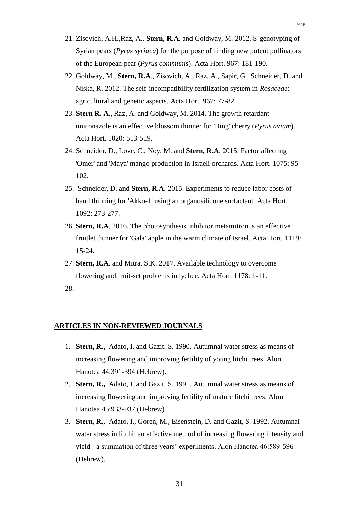- 21. Zisovich, A.H.,Raz, A., **Stern, R.A**. and Goldway, M. 2012. S-genotyping of Syrian pears (*Pyrus syriaca*) for the purpose of finding new potent pollinators of the European pear (*Pyrus communis*). Acta Hort. 967: 181-190.
- 22. Goldway, M., **Stern, R.A**., Zisovich, A., Raz, A., Sapir, G., Schneider, D. and Niska, R. 2012. The self-incompatibility fertilization system in *Rosaceae*: agricultural and genetic aspects. Acta Hort. 967: 77-82.
- 23. **Stern R. A**., Raz, A. and Goldway, M. 2014. The growth retardant uniconazole is an effective blossom thinner for 'Bing' cherry (*Pyrus avium*). Acta Hort. 1020: 513-519.
- 24. Schneider, D., Love, C., Noy, M. and **Stern, R.A**. 2015. Factor affecting 'Omer' and 'Maya' mango production in Israeli orchards. Acta Hort. 1075: 95- 102.
- 25. Schneider, D. and **Stern, R.A**. 2015. Experiments to reduce labor costs of hand thinning for 'Akko-1' using an organosilicone surfactant. Acta Hort. 1092: 273-277.
- 26. **Stern, R.A**. 2016. The photosynthesis inhibitor metamitron is an effective fruitlet thinner for 'Gala' apple in the warm climate of Israel. Acta Hort. 1119: 15-24.
- 27. **Stern, R.A**. and Mitra, S.K. 2017. Available technology to overcome flowering and fruit-set problems in lychee. Acta Hort. 1178: 1-11.
- 28.

#### **ARTICLES IN NON-REVIEWED JOURNALS**

- 1. **Stern, R**., Adato, I. and Gazit, S. 1990. Autumnal water stress as means of increasing flowering and improving fertility of young litchi trees. Alon Hanotea 44:391-394 (Hebrew).
- 2. **Stern, R.,** Adato, I. and Gazit, S. 1991. Autumnal water stress as means of increasing flowering and improving fertility of mature litchi trees. Alon Hanotea 45:933-937 (Hebrew).
- 3. **Stern, R.,** Adato, I., Goren, M., Eisenstein, D. and Gazit, S. 1992. Autumnal water stress in litchi: an effective method of increasing flowering intensity and yield - a summation of three years' experiments. Alon Hanotea 46:589-596 (Hebrew).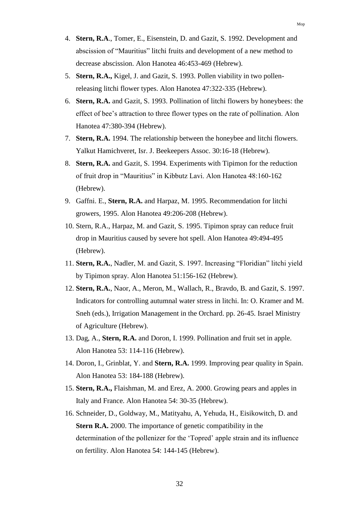- 4. **Stern, R.A**., Tomer, E., Eisenstein, D. and Gazit, S. 1992. Development and abscission of "Mauritius" litchi fruits and development of a new method to decrease abscission. Alon Hanotea 46:453-469 (Hebrew).
- 5. **Stern, R.A.,** Kigel, J. and Gazit, S. 1993. Pollen viability in two pollenreleasing litchi flower types. Alon Hanotea 47:322-335 (Hebrew).
- 6. **Stern, R.A.** and Gazit, S. 1993. Pollination of litchi flowers by honeybees: the effect of bee's attraction to three flower types on the rate of pollination. Alon Hanotea 47:380-394 (Hebrew).
- 7. **Stern, R.A.** 1994. The relationship between the honeybee and litchi flowers. Yalkut Hamichveret, Isr. J. Beekeepers Assoc. 30:16-18 (Hebrew).
- 8. **Stern, R.A.** and Gazit, S. 1994. Experiments with Tipimon for the reduction of fruit drop in "Mauritius" in Kibbutz Lavi. Alon Hanotea 48:160-162 (Hebrew).
- 9. Gaffni. E., **Stern, R.A.** and Harpaz, M. 1995. Recommendation for litchi growers, 1995. Alon Hanotea 49:206-208 (Hebrew).
- 10. Stern, R.A., Harpaz, M. and Gazit, S. 1995. Tipimon spray can reduce fruit drop in Mauritius caused by severe hot spell. Alon Hanotea 49:494-495 (Hebrew).
- 11. **Stern, R.A.**, Nadler, M. and Gazit, S. 1997. Increasing "Floridian" litchi yield by Tipimon spray. Alon Hanotea 51:156-162 (Hebrew).
- 12. **Stern, R.A.**, Naor, A., Meron, M., Wallach, R., Bravdo, B. and Gazit, S. 1997. Indicators for controlling autumnal water stress in litchi. In: O. Kramer and M. Sneh (eds.), Irrigation Management in the Orchard. pp. 26-45. Israel Ministry of Agriculture (Hebrew).
- 13. Dag, A., **Stern, R.A.** and Doron, I. 1999. Pollination and fruit set in apple. Alon Hanotea 53: 114-116 (Hebrew).
- 14. Doron, I., Grinblat, Y. and **Stern, R.A.** 1999. Improving pear quality in Spain. Alon Hanotea 53: 184-188 (Hebrew).
- 15. **Stern, R.A.,** Flaishman, M. and Erez, A. 2000. Growing pears and apples in Italy and France. Alon Hanotea 54: 30-35 (Hebrew).
- 16. Schneider, D., Goldway, M., Matityahu, A, Yehuda, H., Eisikowitch, D. and **Stern R.A.** 2000. The importance of genetic compatibility in the determination of the pollenizer for the 'Topred' apple strain and its influence on fertility. Alon Hanotea 54: 144-145 (Hebrew).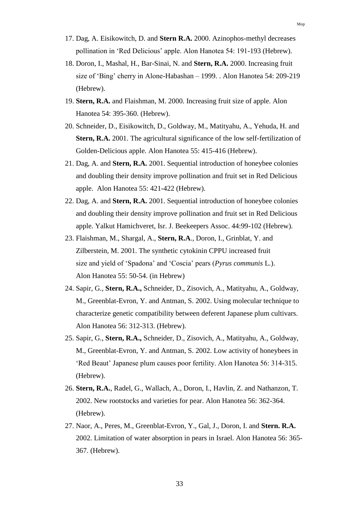- 17. Dag, A. Eisikowitch, D. and **Stern R.A.** 2000. Azinophos-methyl decreases pollination in 'Red Delicious' apple. Alon Hanotea 54: 191-193 (Hebrew).
- 18. Doron, I., Mashal, H., Bar-Sinai, N. and **Stern, R.A.** 2000. Increasing fruit size of 'Bing' cherry in Alone-Habashan – 1999. . Alon Hanotea 54: 209-219 (Hebrew).
- 19. **Stern, R.A.** and Flaishman, M. 2000. Increasing fruit size of apple. Alon Hanotea 54: 395-360. (Hebrew).
- 20. Schneider, D., Eisikowitch, D., Goldway, M., Matityahu, A., Yehuda, H. and **Stern, R.A.** 2001. The agricultural significance of the low self-fertilization of Golden-Delicious apple. Alon Hanotea 55: 415-416 (Hebrew).
- 21. Dag, A. and **Stern, R.A.** 2001. Sequential introduction of honeybee colonies and doubling their density improve pollination and fruit set in Red Delicious apple. Alon Hanotea 55: 421-422 (Hebrew).
- 22. Dag, A. and **Stern, R.A.** 2001. Sequential introduction of honeybee colonies and doubling their density improve pollination and fruit set in Red Delicious apple. Yalkut Hamichveret, Isr. J. Beekeepers Assoc. 44:99-102 (Hebrew).
- 23. Flaishman, M., Shargal, A., **Stern, R.A**., Doron, I., Grinblat, Y. and Zilberstein, M. 2001. The synthetic cytokinin CPPU increased fruit size and yield of 'Spadona' and 'Coscia' pears (*Pyrus communis* L.). Alon Hanotea 55: 50-54. (in Hebrew)
- 24. Sapir, G., **Stern, R.A.,** Schneider, D., Zisovich, A., Matityahu, A., Goldway, M., Greenblat-Evron, Y. and Antman, S. 2002. Using molecular technique to characterize genetic compatibility between deferent Japanese plum cultivars. Alon Hanotea 56: 312-313. (Hebrew).
- 25. Sapir, G., **Stern, R.A.,** Schneider, D., Zisovich, A., Matityahu, A., Goldway, M., Greenblat-Evron, Y. and Antman, S. 2002. Low activity of honeybees in 'Red Beaut' Japanese plum causes poor fertility. Alon Hanotea 56: 314-315. (Hebrew).
- 26. **Stern, R.A.**, Radel, G., Wallach, A., Doron, I., Havlin, Z. and Nathanzon, T. 2002. New rootstocks and varieties for pear. Alon Hanotea 56: 362-364. (Hebrew).
- 27. Naor, A., Peres, M., Greenblat-Evron, Y., Gal, J., Doron, I. and **Stern. R.A.** 2002. Limitation of water absorption in pears in Israel. Alon Hanotea 56: 365- 367. (Hebrew).

Mop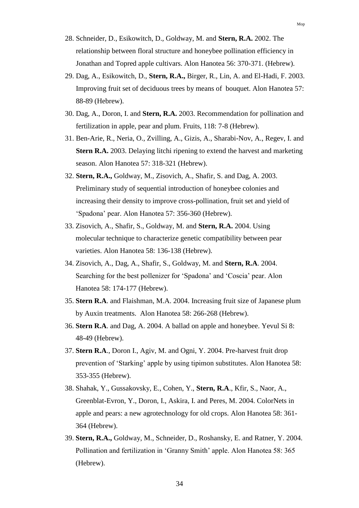- 28. Schneider, D., Esikowitch, D., Goldway, M. and **Stern, R.A.** 2002. The relationship between floral structure and honeybee pollination efficiency in Jonathan and Topred apple cultivars. Alon Hanotea 56: 370-371. (Hebrew).
- 29. Dag, A., Esikowitch, D., **Stern, R.A.,** Birger, R., Lin, A. and El-Hadi, F. 2003. Improving fruit set of deciduous trees by means of bouquet. Alon Hanotea 57: 88-89 (Hebrew).
- 30. Dag, A., Doron, I. and **Stern, R.A.** 2003. Recommendation for pollination and fertilization in apple, pear and plum. Fruits, 118: 7-8 (Hebrew).
- 31. Ben-Arie, R., Neria, O., Zvilling, A., Gizis, A., Sharabi-Nov, A., Regev, I. and **Stern R.A.** 2003. Delaying litchi ripening to extend the harvest and marketing season. Alon Hanotea 57: 318-321 (Hebrew).
- 32. **Stern, R.A.,** Goldway, M., Zisovich, A., Shafir, S. and Dag, A. 2003. Preliminary study of sequential introduction of honeybee colonies and increasing their density to improve cross-pollination, fruit set and yield of 'Spadona' pear. Alon Hanotea 57: 356-360 (Hebrew).
- 33. Zisovich, A., Shafir, S., Goldway, M. and **Stern, R.A.** 2004. Using molecular technique to characterize genetic compatibility between pear varieties. Alon Hanotea 58: 136-138 (Hebrew).
- 34. Zisovich, A., Dag, A., Shafir, S., Goldway, M. and **Stern, R.A**. 2004. Searching for the best pollenizer for 'Spadona' and 'Coscia' pear. Alon Hanotea 58: 174-177 (Hebrew).
- 35. **Stern R.A**. and Flaishman, M.A. 2004. Increasing fruit size of Japanese plum by Auxin treatments. Alon Hanotea 58: 266-268 (Hebrew).
- 36. **Stern R.A**. and Dag, A. 2004. A ballad on apple and honeybee. Yevul Si 8: 48-49 (Hebrew).
- 37. **Stern R.A**., Doron I., Agiv, M. and Ogni, Y. 2004. Pre-harvest fruit drop prevention of 'Starking' apple by using tipimon substitutes. Alon Hanotea 58: 353-355 (Hebrew).
- 38. Shahak, Y., Gussakovsky, E., Cohen, Y., **Stern, R.A**., Kfir, S., Naor, A., Greenblat-Evron, Y., Doron, I., Askira, I. and Peres, M. 2004. ColorNets in apple and pears: a new agrotechnology for old crops. Alon Hanotea 58: 361- 364 (Hebrew).
- 39. **Stern, R.A.,** Goldway, M., Schneider, D., Roshansky, E. and Ratner, Y. 2004. Pollination and fertilization in 'Granny Smith' apple. Alon Hanotea 58: 365 (Hebrew).

Mop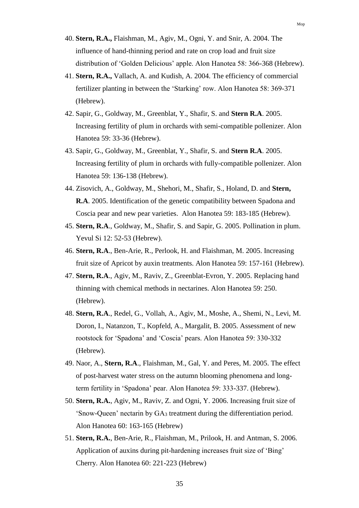- 40. **Stern, R.A.,** Flaishman, M., Agiv, M., Ogni, Y. and Snir, A. 2004. The influence of hand-thinning period and rate on crop load and fruit size distribution of 'Golden Delicious' apple. Alon Hanotea 58: 366-368 (Hebrew).
- 41. **Stern, R.A.,** Vallach, A. and Kudish, A. 2004. The efficiency of commercial fertilizer planting in between the 'Starking' row. Alon Hanotea 58: 369-371 (Hebrew).
- 42. Sapir, G., Goldway, M., Greenblat, Y., Shafir, S. and **Stern R.A**. 2005. Increasing fertility of plum in orchards with semi-compatible pollenizer. Alon Hanotea 59: 33-36 (Hebrew).
- 43. Sapir, G., Goldway, M., Greenblat, Y., Shafir, S. and **Stern R.A**. 2005. Increasing fertility of plum in orchards with fully-compatible pollenizer. Alon Hanotea 59: 136-138 (Hebrew).
- 44. Zisovich, A., Goldway, M., Shehori, M., Shafir, S., Holand, D. and **Stern, R.A**. 2005. Identification of the genetic compatibility between Spadona and Coscia pear and new pear varieties. Alon Hanotea 59: 183-185 (Hebrew).
- 45. **Stern, R.A**., Goldway, M., Shafir, S. and Sapir, G. 2005. Pollination in plum. Yevul Si 12: 52-53 (Hebrew).
- 46. **Stern, R.A**., Ben-Arie, R., Perlook, H. and Flaishman, M. 2005. Increasing fruit size of Apricot by auxin treatments. Alon Hanotea 59: 157-161 (Hebrew).
- 47. **Stern, R.A**., Agiv, M., Raviv, Z., Greenblat-Evron, Y. 2005. Replacing hand thinning with chemical methods in nectarines. Alon Hanotea 59: 250. (Hebrew).
- 48. **Stern, R.A**., Redel, G., Vollah, A., Agiv, M., Moshe, A., Shemi, N., Levi, M. Doron, I., Natanzon, T., Kopfeld, A., Margalit, B. 2005. Assessment of new rootstock for 'Spadona' and 'Coscia' pears. Alon Hanotea 59: 330-332 (Hebrew).
- 49. Naor, A., **Stern, R.A**., Flaishman, M., Gal, Y. and Peres, M. 2005. The effect of post-harvest water stress on the autumn blooming phenomena and longterm fertility in 'Spadona' pear. Alon Hanotea 59: 333-337. (Hebrew).
- 50. **Stern, R.A.**, Agiv, M., Raviv, Z. and Ogni, Y. 2006. Increasing fruit size of 'Snow-Queen' nectarin by GA<sup>3</sup> treatment during the differentiation period. Alon Hanotea 60: 163-165 (Hebrew)
- 51. **Stern, R.A.**, Ben-Arie, R., Flaishman, M., Prilook, H. and Antman, S. 2006. Application of auxins during pit-hardening increases fruit size of 'Bing' Cherry. Alon Hanotea 60: 221-223 (Hebrew)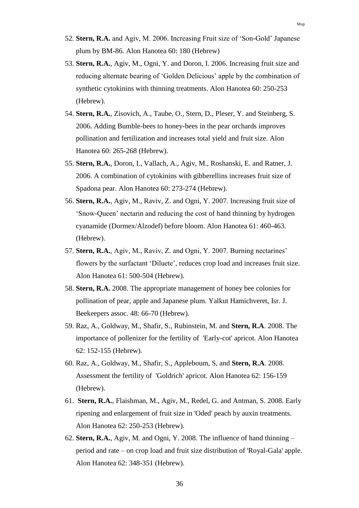- 52. **Stern, R.A.** and Agiv, M. 2006. Increasing Fruit size of 'Son-Gold' Japanese plum by BM-86. Alon Hanotea 60: 180 (Hebrew)
- 53. **Stern, R.A.**, Agiv, M., Ogni, Y. and Doron, I. 2006. Increasing fruit size and reducing alternate bearing of 'Golden Delicious' apple by the combination of synthetic cytokinins with thinning treatments. Alon Hanotea 60: 250-253 (Hebrew).
- 54. **Stern, R.A.**, Zisovich, A., Taube, O., Stern, D., Pleser, Y. and Steinberg, S. 2006. Adding Bumble-bees to honey-bees in the pear orchards improves pollination and fertilization and increases total yield and fruit size. Alon Hanotea 60: 265-268 (Hebrew).
- 55. **Stern, R.A.**, Doron, I., Vallach, A., Agiv, M., Roshanski, E. and Ratner, J. 2006. A combination of cytokinins with gibberellins increases fruit size of Spadona pear. Alon Hanotea 60: 273-274 (Hebrew).
- 56. **Stern, R.A.**, Agiv, M., Raviv, Z. and Ogni, Y. 2007. Increasing fruit size of 'Snow-Queen' nectarin and reducing the cost of hand thinning by hydrogen cyanamide (Dormex/Alzodef) before bloom. Alon Hanotea 61: 460-463. (Hebrew).
- 57. **Stern, R.A.**, Agiv, M., Raviv, Z. and Ogni, Y. 2007. Burning nectarines' flowers by the surfactant 'Diluete', reduces crop load and increases fruit size. Alon Hanotea 61: 500-504 (Hebrew).
- 58. **Stern, R.A.** 2008. The appropriate management of honey bee colonies for pollination of pear, apple and Japanese plum. Yalkut Hamichveret, Isr. J. Beekeepers assoc. 48: 66-70 (Hebrew).
- 59. Raz, A., Goldway, M., Shafir, S., Rubinstein, M. and **Stern, R.A**. 2008. The importance of pollenizer for the fertility of 'Early-cot' apricot. Alon Hanotea 62: 152-155 (Hebrew).
- 60. Raz, A., Goldway, M., Shafir, S., Appleboum, S, and **Stern, R.A**. 2008. Assessment the fertility of 'Goldrich' apricot. Alon Hanotea 62: 156-159 (Hebrew).
- 61. **Stern, R.A.**, Flaishman, M., Agiv, M., Redel, G. and Antman, S. 2008. Early ripening and enlargement of fruit size in 'Oded' peach by auxin treatments. Alon Hanotea 62: 250-253 (Hebrew).
- 62. **Stern, R.A.**, Agiv, M. and Ogni, Y. 2008. The influence of hand thinning period and rate – on crop load and fruit size distribution of 'Royal-Gala' apple. Alon Hanotea 62: 348-351 (Hebrew).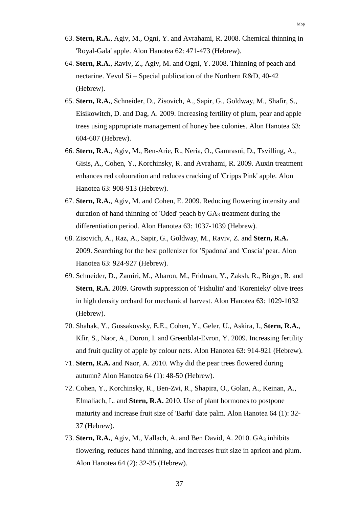- 63. **Stern, R.A.**, Agiv, M., Ogni, Y. and Avrahami, R. 2008. Chemical thinning in 'Royal-Gala' apple. Alon Hanotea 62: 471-473 (Hebrew).
- 64. **Stern, R.A.**, Raviv, Z., Agiv, M. and Ogni, Y. 2008. Thinning of peach and nectarine. Yevul Si – Special publication of the Northern R&D, 40-42 (Hebrew).
- 65. **Stern, R.A.**, Schneider, D., Zisovich, A., Sapir, G., Goldway, M., Shafir, S., Eisikowitch, D. and Dag, A. 2009. Increasing fertility of plum, pear and apple trees using appropriate management of honey bee colonies. Alon Hanotea 63: 604-607 (Hebrew).
- 66. **Stern, R.A.**, Agiv, M., Ben-Arie, R., Neria, O., Gamrasni, D., Tsvilling, A., Gisis, A., Cohen, Y., Korchinsky, R. and Avrahami, R. 2009. Auxin treatment enhances red colouration and reduces cracking of 'Cripps Pink' apple. Alon Hanotea 63: 908-913 (Hebrew).
- 67. **Stern, R.A.**, Agiv, M. and Cohen, E. 2009. Reducing flowering intensity and duration of hand thinning of 'Oded' peach by GA<sup>3</sup> treatment during the differentiation period. Alon Hanotea 63: 1037-1039 (Hebrew).
- 68. Zisovich, A., Raz, A., Sapir, G., Goldway, M., Raviv, Z. and **Stern, R.A.** 2009. Searching for the best pollenizer for 'Spadona' and 'Coscia' pear. Alon Hanotea 63: 924-927 (Hebrew).
- 69. Schneider, D., Zamiri, M., Aharon, M., Fridman, Y., Zaksh, R., Birger, R. and **Stern**, **R.A**. 2009. Growth suppression of 'Fishulin' and 'Korenieky' olive trees in high density orchard for mechanical harvest. Alon Hanotea 63: 1029-1032 (Hebrew).
- 70. Shahak, Y., Gussakovsky, E.E., Cohen, Y., Geler, U., Askira, I., **Stern, R.A.**, Kfir, S., Naor, A., Doron, I. and Greenblat-Evron, Y. 2009. Increasing fertility and fruit quality of apple by colour nets. Alon Hanotea 63: 914-921 (Hebrew).
- 71. **Stern, R.A.** and Naor, A. 2010. Why did the pear trees flowered during autumn? Alon Hanotea 64 (1): 48-50 (Hebrew).
- 72. Cohen, Y., Korchinsky, R., Ben-Zvi, R., Shapira, O., Golan, A., Keinan, A., Elmaliach, L. and **Stern, R.A.** 2010. Use of plant hormones to postpone maturity and increase fruit size of 'Barhi' date palm. Alon Hanotea 64 (1): 32- 37 (Hebrew).
- 73. **Stern, R.A.**, Agiv, M., Vallach, A. and Ben David, A. 2010. GA<sup>3</sup> inhibits flowering, reduces hand thinning, and increases fruit size in apricot and plum. Alon Hanotea 64 (2): 32-35 (Hebrew).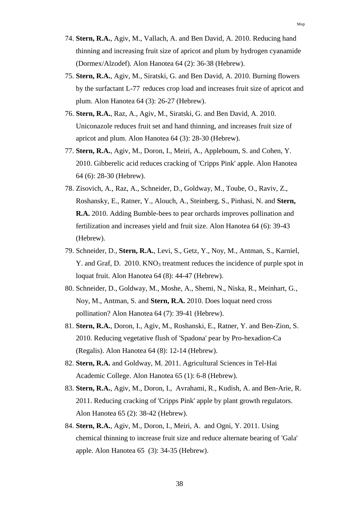- 74. **Stern, R.A.**, Agiv, M., Vallach, A. and Ben David, A. 2010. Reducing hand thinning and increasing fruit size of apricot and plum by hydrogen cyanamide (Dormex/Alzodef). Alon Hanotea 64 (2): 36-38 (Hebrew).
- 75. **Stern, R.A.**, Agiv, M., Siratski, G. and Ben David, A. 2010. Burning flowers by the surfactant L-77 reduces crop load and increases fruit size of apricot and plum. Alon Hanotea 64 (3): 26-27 (Hebrew).
- 76. **Stern, R.A.**, Raz, A., Agiv, M., Siratski, G. and Ben David, A. 2010. Uniconazole reduces fruit set and hand thinning, and increases fruit size of apricot and plum. Alon Hanotea 64 (3): 28-30 (Hebrew).
- 77. **Stern, R.A.**, Agiv, M., Doron, I., Meiri, A., Appleboum, S. and Cohen, Y. 2010. Gibberelic acid reduces cracking of 'Cripps Pink' apple. Alon Hanotea 64 (6): 28-30 (Hebrew).
- 78. Zisovich, A., Raz, A., Schneider, D., Goldway, M., Toube, O., Raviv, Z., Roshansky, E., Ratner, Y., Alouch, A., Steinberg, S., Pinhasi, N. and **Stern, R.A.** 2010. Adding Bumble-bees to pear orchards improves pollination and fertilization and increases yield and fruit size. Alon Hanotea 64 (6): 39-43 (Hebrew).
- 79. Schneider, D., **Stern, R.A.**, Levi, S., Getz, Y., Noy, M., Antman, S., Karniel, Y. and Graf, D. 2010. KNO<sub>3</sub> treatment reduces the incidence of purple spot in loquat fruit. Alon Hanotea 64 (8): 44-47 (Hebrew).
- 80. Schneider, D., Goldway, M., Moshe, A., Shemi, N., Niska, R., Meinhart, G., Noy, M., Antman, S. and **Stern, R.A.** 2010. Does loquat need cross pollination? Alon Hanotea 64 (7): 39-41 (Hebrew).
- 81. **Stern, R.A.**, Doron, I., Agiv, M., Roshanski, E., Ratner, Y. and Ben-Zion, S. 2010. Reducing vegetative flush of 'Spadona' pear by Pro-hexadion-Ca (Regalis). Alon Hanotea 64 (8): 12-14 (Hebrew).
- 82. **Stern, R.A.** and Goldway, M. 2011. Agricultural Sciences in Tel-Hai Academic College. Alon Hanotea 65 (1): 6-8 (Hebrew).
- 83. **Stern, R.A.**, Agiv, M., Doron, I., Avrahami, R., Kudish, A. and Ben-Arie, R. 2011. Reducing cracking of 'Cripps Pink' apple by plant growth regulators. Alon Hanotea 65 (2): 38-42 (Hebrew).
- 84. **Stern, R.A.**, Agiv, M., Doron, I., Meiri, A. and Ogni, Y. 2011. Using chemical thinning to increase fruit size and reduce alternate bearing of 'Gala' apple. Alon Hanotea 65 (3): 34-35 (Hebrew).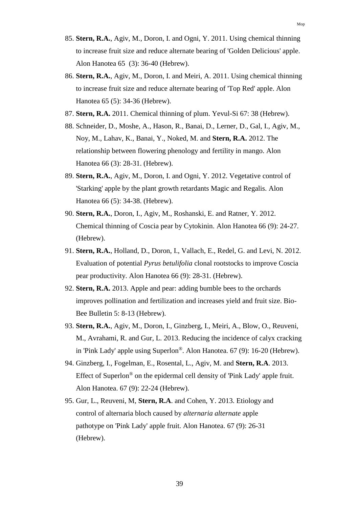- 85. **Stern, R.A.**, Agiv, M., Doron, I. and Ogni, Y. 2011. Using chemical thinning to increase fruit size and reduce alternate bearing of 'Golden Delicious' apple. Alon Hanotea 65 (3): 36-40 (Hebrew).
- 86. **Stern, R.A.**, Agiv, M., Doron, I. and Meiri, A. 2011. Using chemical thinning to increase fruit size and reduce alternate bearing of 'Top Red' apple. Alon Hanotea 65 (5): 34-36 (Hebrew).
- 87. **Stern, R.A.** 2011. Chemical thinning of plum. Yevul-Si 67: 38 (Hebrew).
- 88. Schneider, D., Moshe, A., Hason, R., Banai, D., Lerner, D., Gal, I., Agiv, M., Noy, M., Lahav, K., Banai, Y., Noked, M. and **Stern, R.A.** 2012. The relationship between flowering phenology and fertility in mango. Alon Hanotea 66 (3): 28-31. (Hebrew).
- 89. **Stern, R.A.**, Agiv, M., Doron, I. and Ogni, Y. 2012. Vegetative control of 'Starking' apple by the plant growth retardants Magic and Regalis. Alon Hanotea 66 (5): 34-38. (Hebrew).
- 90. **Stern, R.A.**, Doron, I., Agiv, M., Roshanski, E. and Ratner, Y. 2012. Chemical thinning of Coscia pear by Cytokinin. Alon Hanotea 66 (9): 24-27. (Hebrew).
- 91. **Stern, R.A.**, Holland, D., Doron, I., Vallach, E., Redel, G. and Levi, N. 2012. Evaluation of potential *Pyrus betulifolia* clonal rootstocks to improve Coscia pear productivity. Alon Hanotea 66 (9): 28-31. (Hebrew).
- 92. **Stern, R.A.** 2013. Apple and pear: adding bumble bees to the orchards improves pollination and fertilization and increases yield and fruit size. Bio-Bee Bulletin 5: 8-13 (Hebrew).
- 93. **Stern, R.A.**, Agiv, M., Doron, I., Ginzberg, I., Meiri, A., Blow, O., Reuveni, M., Avrahami, R. and Gur, L. 2013. Reducing the incidence of calyx cracking in 'Pink Lady' apple using Superlon®. Alon Hanotea. 67 (9): 16-20 (Hebrew).
- 94. Ginzberg, I., Fogelman, E., Rosental, L., Agiv, M. and **Stern, R.A**. 2013. Effect of Superlon® on the epidermal cell density of 'Pink Lady' apple fruit. Alon Hanotea. 67 (9): 22-24 (Hebrew).
- 95. Gur, L., Reuveni, M, **Stern, R.A**. and Cohen, Y. 2013. Etiology and control of alternaria bloch caused by *alternaria alternate* apple pathotype on 'Pink Lady' apple fruit. Alon Hanotea. 67 (9): 26-31 (Hebrew).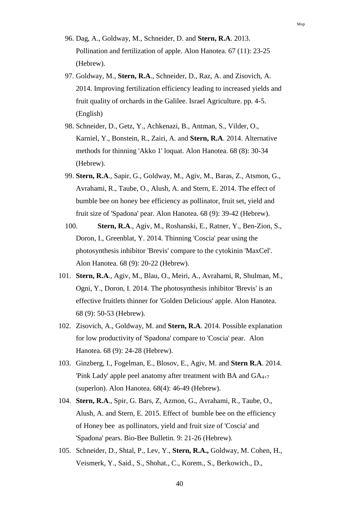- 96. Dag, A., Goldway, M., Schneider, D. and **Stern, R.A**. 2013. Pollination and fertilization of apple. Alon Hanotea. 67 (11): 23-25 (Hebrew).
- 97. Goldway, M., **Stern, R.A**., Schneider, D., Raz, A. and Zisovich, A. 2014. Improving fertilization efficiency leading to increased yields and fruit quality of orchards in the Galilee. Israel Agriculture. pp. 4-5. (English)
- 98. Schneider, D., Getz, Y., Achkenazi, B., Antman, S., Vilder, O., Karniel, Y., Bonstein, R., Zairi, A. and **Stern, R.A**. 2014. Alternative methods for thinning 'Akko 1' loquat. Alon Hanotea. 68 (8): 30-34 (Hebrew).
- 99. **Stern, R.A**., Sapir, G., Goldway, M., Agiv, M., Baras, Z., Atsmon, G., Avrahami, R., Taube, O., Alush, A. and Stern, E. 2014. The effect of bumble bee on honey bee efficiency as pollinator, fruit set, yield and fruit size of 'Spadona' pear. Alon Hanotea. 68 (9): 39-42 (Hebrew).
- 100. **Stern, R.A**., Agiv, M., Roshanski, E., Ratner, Y., Ben-Zion, S., Doron, I., Greenblat, Y. 2014. Thinning 'Coscia' pear using the photosynthesis inhibitor 'Brevis' compare to the cytokinin 'MaxCel'. Alon Hanotea. 68 (9): 20-22 (Hebrew).
- 101. **Stern, R.A**., Agiv, M., Blau, O., Meiri, A., Avrahami, R, Shulman, M., Ogni, Y., Doron, I. 2014. The photosynthesis inhibitor 'Brevis' is an effective fruitlets thinner for 'Golden Delicious' apple. Alon Hanotea. 68 (9): 50-53 (Hebrew).
- 102. Zisovich, A., Goldway, M. and **Stern, R.A**. 2014. Possible explanation for low productivity of 'Spadona' compare to 'Coscia' pear. Alon Hanotea. 68 (9): 24-28 (Hebrew).
- 103. Ginzberg, I., Fogelman, E., Blosov, E., Agiv, M. and **Stern R.A**. 2014. 'Pink Lady' apple peel anatomy after treatment with BA and GA4+7 (superlon). Alon Hanotea. 68(4): 46-49 (Hebrew).
- 104. **Stern, R.A**., Spir, G. Bars, Z, Azmon, G., Avrahami, R., Taube, O., Alush, A. and Stern, E. 2015. Effect of bumble bee on the efficiency of Honey bee as pollinators, yield and fruit size of 'Coscia' and 'Spadona' pears. Bio-Bee Bulletin. 9: 21-26 (Hebrew).
- 105. Schneider, D., Shtal, P., Lev, Y., **Stern, R.A.,** Goldway, M. Cohen, H., Veismerk, Y., Said., S., Shohat., C., Korem., S., Berkowich., D.,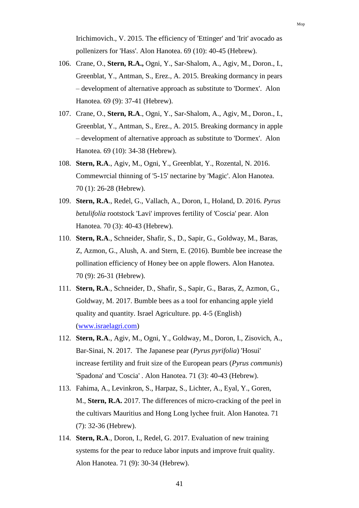Irichimovich., V. 2015. The efficiency of 'Ettinger' and 'Irit' avocado as pollenizers for 'Hass'. Alon Hanotea. 69 (10): 40-45 (Hebrew).

- 106. Crane, O., **Stern, R.A.,** Ogni, Y., Sar-Shalom, A., Agiv, M., Doron., I., Greenblat, Y., Antman, S., Erez., A. 2015. Breaking dormancy in pears – development of alternative approach as substitute to 'Dormex'. Alon Hanotea. 69 (9): 37-41 (Hebrew).
- 107. Crane, O., **Stern, R.A**., Ogni, Y., Sar-Shalom, A., Agiv, M., Doron., I., Greenblat, Y., Antman, S., Erez., A. 2015. Breaking dormancy in apple – development of alternative approach as substitute to 'Dormex'. Alon Hanotea. 69 (10): 34-38 (Hebrew).
- 108. **Stern, R.A**., Agiv, M., Ogni, Y., Greenblat, Y., Rozental, N. 2016. Commewrcial thinning of '5-15' nectarine by 'Magic'. Alon Hanotea. 70 (1): 26-28 (Hebrew).
- 109. **Stern, R.A**., Redel, G., Vallach, A., Doron, I., Holand, D. 2016. *Pyrus betulifolia* rootstock 'Lavi' improves fertility of 'Coscia' pear. Alon Hanotea. 70 (3): 40-43 (Hebrew).
- 110. **Stern, R.A**., Schneider, Shafir, S., D., Sapir, G., Goldway, M., Baras, Z, Azmon, G., Alush, A. and Stern, E. (2016). Bumble bee increase the pollination efficiency of Honey bee on apple flowers. Alon Hanotea. 70 (9): 26-31 (Hebrew).
- 111. **Stern, R.A**., Schneider, D., Shafir, S., Sapir, G., Baras, Z, Azmon, G., Goldway, M. 2017. Bumble bees as a tool for enhancing apple yield quality and quantity. Israel Agriculture. pp. 4-5 (English) [\(www.israelagri.com\)](http://www.israelagri.com/)
- 112. **Stern, R.A**., Agiv, M., Ogni, Y., Goldway, M., Doron, I., Zisovich, A., Bar-Sinai, N. 2017. The Japanese pear (*Pyrus pyrifolia*) 'Hosui' increase fertility and fruit size of the European pears (*Pyrus communis*) 'Spadona' and 'Coscia' . Alon Hanotea. 71 (3): 40-43 (Hebrew).
- 113. Fahima, A., Levinkron, S., Harpaz, S., Lichter, A., Eyal, Y., Goren, M., **Stern, R.A.** 2017. The differences of micro-cracking of the peel in the cultivars Mauritius and Hong Long lychee fruit. Alon Hanotea. 71 (7): 32-36 (Hebrew).
- 114. **Stern, R.A**., Doron, I., Redel, G. 2017. Evaluation of new training systems for the pear to reduce labor inputs and improve fruit quality. Alon Hanotea. 71 (9): 30-34 (Hebrew).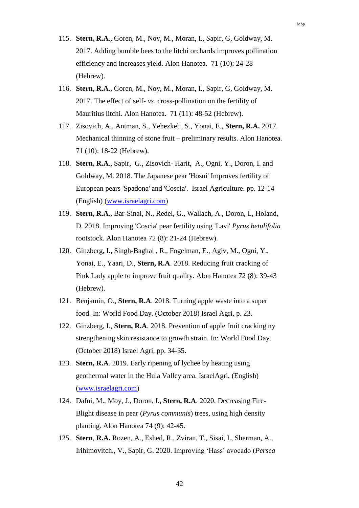- 115. **Stern, R.A**., Goren, M., Noy, M., Moran, I., Sapir, G, Goldway, M. 2017. Adding bumble bees to the litchi orchards improves pollination efficiency and increases yield. Alon Hanotea. 71 (10): 24-28 (Hebrew).
- 116. **Stern, R.A**., Goren, M., Noy, M., Moran, I., Sapir, G, Goldway, M. 2017. The effect of self- *vs*. cross-pollination on the fertility of Mauritius litchi. Alon Hanotea. 71 (11): 48-52 (Hebrew).
- 117. Zisovich, A., Antman, S., Yehezkeli, S., Yonai, E., **Stern, R.A.** 2017. Mechanical thinning of stone fruit – preliminary results. Alon Hanotea. 71 (10): 18-22 (Hebrew).
- 118. **Stern, R.A**., Sapir, G., Zisovich- Harit, A., Ogni, Y., Doron, I. and Goldway, M. 2018. The Japanese pear 'Hosui' Improves fertility of European pears 'Spadona' and 'Coscia'. Israel Agriculture. pp. 12-14 (English) [\(www.israelagri.com\)](http://www.israelagri.com/)
- 119. **Stern, R.A**., Bar-Sinai, N., Redel, G., Wallach, A., Doron, I., Holand, D. 2018. Improving 'Coscia' pear fertility using 'Lavi' *Pyrus betulifolia* rootstock. Alon Hanotea 72 (8): 21-24 (Hebrew).
- 120. Ginzberg, I., Singh-Baghal , R., Fogelman, E., Agiv, M., Ogni, Y., Yonai, E., Yaari, D., **Stern, R.A**. 2018. Reducing fruit cracking of Pink Lady apple to improve fruit quality. Alon Hanotea 72 (8): 39-43 (Hebrew).
- 121. Benjamin, O., **Stern, R.A**. 2018. Turning apple waste into a super food. In: World Food Day. (October 2018) Israel Agri, p. 23.
- 122. Ginzberg, I., **Stern, R.A**. 2018. Prevention of apple fruit cracking ny strengthening skin resistance to growth strain. In: World Food Day. (October 2018) Israel Agri, pp. 34-35.
- 123. **Stern, R.A**. 2019. Early ripening of lychee by heating using geothermal water in the Hula Valley area. IsraelAgri, (English) [\(www.israelagri.com\)](http://www.israelagri.com/)
- 124. Dafni, M., Moy, J., Doron, I., **Stern, R.A**. 2020. Decreasing Fire-Blight disease in pear (*Pyrus communis*) trees, using high density planting. Alon Hanotea 74 (9): 42-45.
- 125. **Stern**, **R.A.** Rozen, A., Eshed, R., Zviran, T., Sisai, I., Sherman, A., Irihimovitch., V., Sapir, G. 2020. Improving 'Hass' avocado (*Persea*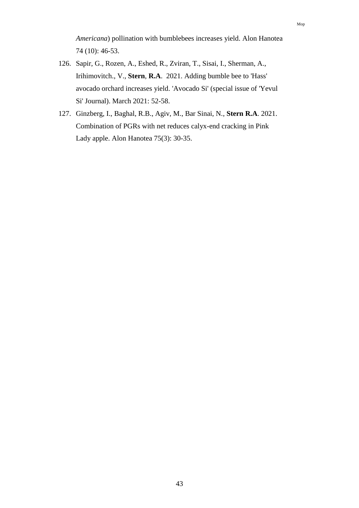*Americana*) pollination with bumblebees increases yield. Alon Hanotea 74 (10): 46-53.

- 126. Sapir, G., Rozen, A., Eshed, R., Zviran, T., Sisai, I., Sherman, A., Irihimovitch., V., **Stern**, **R.A**. 2021. Adding bumble bee to 'Hass' avocado orchard increases yield. 'Avocado Si' (special issue of 'Yevul Si' Journal). March 2021: 52-58.
- 127. Ginzberg, I., Baghal, R.B., Agiv, M., Bar Sinai, N., **Stern R.A**. 2021. Combination of PGRs with net reduces calyx-end cracking in Pink Lady apple. Alon Hanotea 75(3): 30-35.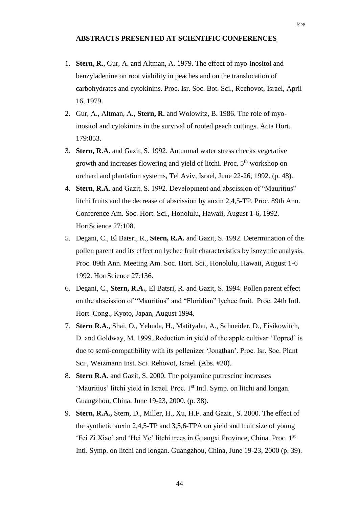## **ABSTRACTS PRESENTED AT SCIENTIFIC CONFERENCES**

- 1. **Stern, R.**, Gur, A. and Altman, A. 1979. The effect of myo-inositol and benzyladenine on root viability in peaches and on the translocation of carbohydrates and cytokinins. Proc. Isr. Soc. Bot. Sci., Rechovot, Israel, April 16, 1979.
- 2. Gur, A., Altman, A., **Stern, R.** and Wolowitz, B. 1986. The role of myoinositol and cytokinins in the survival of rooted peach cuttings. Acta Hort. 179:853.
- 3. **Stern, R.A.** and Gazit, S. 1992. Autumnal water stress checks vegetative growth and increases flowering and yield of litchi. Proc. 5<sup>th</sup> workshop on orchard and plantation systems, Tel Aviv, Israel, June 22-26, 1992. (p. 48).
- 4. **Stern, R.A.** and Gazit, S. 1992. Development and abscission of "Mauritius" litchi fruits and the decrease of abscission by auxin 2,4,5-TP. Proc. 89th Ann. Conference Am. Soc. Hort. Sci., Honolulu, Hawaii, August 1-6, 1992. HortScience 27:108.
- 5. Degani, C., El Batsri, R., **Stern, R.A.** and Gazit, S. 1992. Determination of the pollen parent and its effect on lychee fruit characteristics by isozymic analysis. Proc. 89th Ann. Meeting Am. Soc. Hort. Sci., Honolulu, Hawaii, August 1-6 1992. HortScience 27:136.
- 6. Degani, C., **Stern, R.A.**, El Batsri, R. and Gazit, S. 1994. Pollen parent effect on the abscission of "Mauritius" and "Floridian" lychee fruit. Proc. 24th Intl. Hort. Cong., Kyoto, Japan, August 1994.
- 7. **Stern R.A.**, Shai, O., Yehuda, H., Matityahu, A., Schneider, D., Eisikowitch, D. and Goldway, M. 1999. Reduction in yield of the apple cultivar 'Topred' is due to semi-compatibility with its pollenizer 'Jonathan'. Proc. Isr. Soc. Plant Sci., Weizmann Inst. Sci. Rehovot, Israel. (Abs. #20).
- 8. **Stern R.A.** and Gazit, S. 2000. The polyamine putrescine increases 'Mauritius' litchi yield in Israel. Proc. 1<sup>st</sup> Intl. Symp. on litchi and longan. Guangzhou, China, June 19-23, 2000. (p. 38).
- 9. **Stern, R.A.,** Stern, D., Miller, H., Xu, H.F. and Gazit., S. 2000. The effect of the synthetic auxin 2,4,5-TP and 3,5,6-TPA on yield and fruit size of young 'Fei Zi Xiao' and 'Hei Ye' litchi trees in Guangxi Province, China. Proc. 1st Intl. Symp. on litchi and longan. Guangzhou, China, June 19-23, 2000 (p. 39).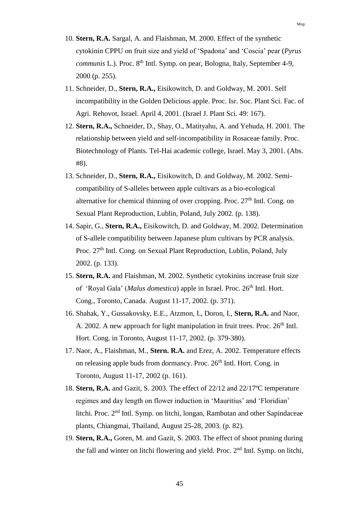- 10. **Stern, R.A.** Sargal, A. and Flaishman, M. 2000. Effect of the synthetic cytokinin CPPU on fruit size and yield of 'Spadona' and 'Coscia' pear (*Pyrus communis L.*). Proc. 8<sup>th</sup> Intl. Symp. on pear, Bologna, Italy, September 4-9, 2000 (p. 255).
- 11. Schneider, D., **Stern, R.A.,** Eisikowitch, D. and Goldway, M. 2001. Self incompatibility in the Golden Delicious apple. Proc. Isr. Soc. Plant Sci. Fac. of Agri. Rehovot, Israel. April 4, 2001. (Israel J. Plant Sci. 49: 167).
- 12. **Stern, R.A.,** Schneider, D., Shay, O., Matityahu, A. and Yehuda, H. 2001. The relationship between yield and self-incompatibility in Rosaceae family. Proc. Biotechnology of Plants. Tel-Hai academic college, Israel. May 3, 2001. (Abs. #8).
- 13. Schneider, D., **Stern, R.A.,** Eisikowitch, D. and Goldway, M. 2002. Semicompatibility of S-alleles between apple cultivars as a bio-ecological alternative for chemical thinning of over cropping. Proc.  $27<sup>th</sup>$  Intl. Cong. on Sexual Plant Reproduction, Lublin, Poland, July 2002. (p. 138).
- 14. Sapir, G., **Stern, R.A.,** Eisikowitch, D. and Goldway, M. 2002. Determination of S-allele compatibility between Japanese plum cultivars by PCR analysis. Proc. 27<sup>th</sup> Intl. Cong. on Sexual Plant Reproduction, Lublin, Poland, July 2002. (p. 133).
- 15. **Stern, R.A.** and Flaishman, M. 2002. Synthetic cytokinins increase fruit size of 'Royal Gala' (*Malus domestica*) apple in Israel. Proc. 26<sup>th</sup> Intl. Hort. Cong., Toronto, Canada. August 11-17, 2002. (p. 371).
- 16. Shahak, Y., Gussakovsky, E.E., Atzmon, I., Doron, I., **Stern, R.A.** and Naor, A. 2002. A new approach for light manipulation in fruit trees. Proc. 26<sup>th</sup> Intl. Hort. Cong. in Toronto, August 11-17, 2002. (p. 379-380).
- 17. Naor, A., Flaishman, M., **Stern. R.A.** and Erez, A. 2002. Temperature effects on releasing apple buds from dormancy. Proc. 26<sup>th</sup> Intl. Hort. Cong. in Toronto, August 11-17, 2002 (p. 161).
- 18. **Stern, R.A.** and Gazit, S. 2003. The effect of 22/12 and 22/17ºC temperature regimes and day length on flower induction in 'Mauritius' and 'Floridian' litchi. Proc. 2nd Intl. Symp. on litchi, longan, Rambutan and other Sapindaceae plants, Chiangmai, Thailand, August 25-28, 2003. (p. 82).
- 19. **Stern, R.A.,** Goren, M. and Gazit, S. 2003. The effect of shoot pruning during the fall and winter on litchi flowering and yield. Proc. 2nd Intl. Symp. on litchi,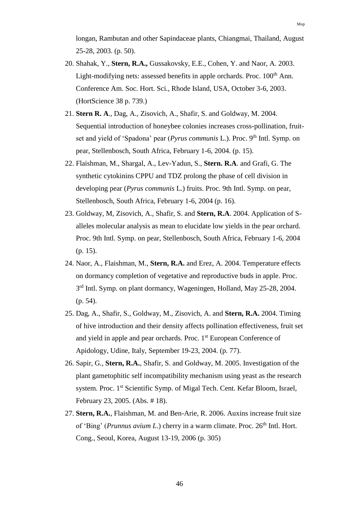longan, Rambutan and other Sapindaceae plants, Chiangmai, Thailand, August 25-28, 2003. (p. 50).

- 20. Shahak, Y., **Stern, R.A.,** Gussakovsky, E.E., Cohen, Y. and Naor, A. 2003. Light-modifying nets: assessed benefits in apple orchards. Proc. 100<sup>th</sup> Ann. Conference Am. Soc. Hort. Sci., Rhode Island, USA, October 3-6, 2003. (HortScience 38 p. 739.)
- 21. **Stern R. A**., Dag, A., Zisovich, A., Shafir, S. and Goldway, M. 2004. Sequential introduction of honeybee colonies increases cross-pollination, fruitset and yield of 'Spadona' pear (*Pyrus communis* L.). Proc. 9<sup>th</sup> Intl. Symp. on pear, Stellenbosch, South Africa, February 1-6, 2004. (p. 15).
- 22. Flaishman, M., Shargal, A., Lev-Yadun, S., **Stern. R.A**. and Grafi, G. The synthetic cytokinins CPPU and TDZ prolong the phase of cell division in developing pear (*Pyrus communis* L.) fruits. Proc. 9th Intl. Symp. on pear, Stellenbosch, South Africa, February 1-6, 2004 (p. 16).
- 23. Goldway, M, Zisovich, A., Shafir, S. and **Stern, R.A**. 2004. Application of Salleles molecular analysis as mean to elucidate low yields in the pear orchard. Proc. 9th Intl. Symp. on pear, Stellenbosch, South Africa, February 1-6, 2004 (p. 15).
- 24. Naor, A., Flaishman, M., **Stern, R.A.** and Erez, A. 2004. Temperature effects on dormancy completion of vegetative and reproductive buds in apple. Proc. 3<sup>rd</sup> Intl. Symp. on plant dormancy, Wageningen, Holland, May 25-28, 2004. (p. 54).
- 25. Dag, A., Shafir, S., Goldway, M., Zisovich, A. and **Stern, R.A.** 2004. Timing of hive introduction and their density affects pollination effectiveness, fruit set and yield in apple and pear orchards. Proc. 1<sup>st</sup> European Conference of Apidology, Udine, Italy, September 19-23, 2004. (p. 77).
- 26. Sapir, G., **Stern, R.A.**, Shafir, S. and Goldway, M. 2005. Investigation of the plant gametophitic self incompatibility mechanism using yeast as the research system. Proc. 1st Scientific Symp. of Migal Tech. Cent. Kefar Bloom, Israel, February 23, 2005. (Abs. # 18).
- 27. **Stern, R.A.**, Flaishman, M. and Ben-Arie, R. 2006. Auxins increase fruit size of 'Bing' (*Prunnus avium L*.) cherry in a warm climate. Proc. 26<sup>th</sup> Intl. Hort. Cong., Seoul, Korea, August 13-19, 2006 (p. 305)

Mop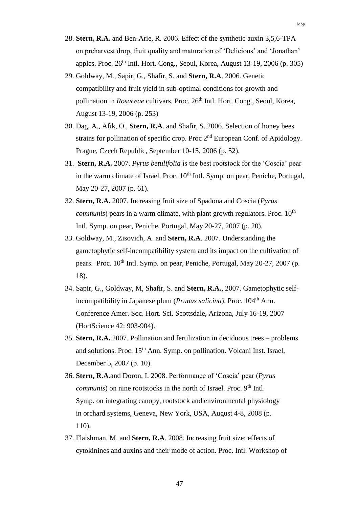- 28. **Stern, R.A.** and Ben-Arie, R. 2006. Effect of the synthetic auxin 3,5,6-TPA on preharvest drop, fruit quality and maturation of 'Delicious' and 'Jonathan' apples. Proc.  $26<sup>th</sup>$  Intl. Hort. Cong., Seoul, Korea, August 13-19, 2006 (p. 305)
- 29. Goldway, M., Sapir, G., Shafir, S. and **Stern, R.A**. 2006. Genetic compatibility and fruit yield in sub-optimal conditions for growth and pollination in *Rosaceae* cultivars. Proc. 26<sup>th</sup> Intl. Hort. Cong., Seoul, Korea, August 13-19, 2006 (p. 253)
- 30. Dag, A., Afik, O., **Stern, R.A**. and Shafir, S. 2006. Selection of honey bees strains for pollination of specific crop. Proc  $2<sup>nd</sup>$  European Conf. of Apidology. Prague, Czech Republic, September 10-15, 2006 (p. 52).
- 31. **Stern, R.A.** 2007. *Pyrus betulifolia* is the best rootstock for the 'Coscia' pear in the warm climate of Israel. Proc.  $10<sup>th</sup>$  Intl. Symp. on pear, Peniche, Portugal, May 20-27, 2007 (p. 61).
- 32. **Stern, R.A.** 2007. Increasing fruit size of Spadona and Coscia (*Pyrus communis*) pears in a warm climate, with plant growth regulators. Proc.  $10<sup>th</sup>$ Intl. Symp. on pear, Peniche, Portugal, May 20-27, 2007 (p. 20).
- 33. Goldway, M., Zisovich, A. and **Stern, R.A**. 2007. Understanding the gametophytic self-incompatibility system and its impact on the cultivation of pears. Proc. 10<sup>th</sup> Intl. Symp. on pear, Peniche, Portugal, May 20-27, 2007 (p. 18).
- 34. Sapir, G., Goldway, M, Shafir, S. and **Stern, R.A.**, 2007. Gametophytic selfincompatibility in Japanese plum (*Prunus salicina*). Proc. 104<sup>th</sup> Ann. Conference Amer. Soc. Hort. Sci. Scottsdale, Arizona, July 16-19, 2007 (HortScience 42: 903-904).
- 35. **Stern, R.A.** 2007. Pollination and fertilization in deciduous trees problems and solutions. Proc.  $15<sup>th</sup>$  Ann. Symp. on pollination. Volcani Inst. Israel, December 5, 2007 (p. 10).
- 36. **Stern, R.A**.and Doron, I. 2008. Performance of 'Coscia' pear (*Pyrus communis*) on nine rootstocks in the north of Israel. Proc. 9<sup>th</sup> Intl. Symp. on integrating canopy, rootstock and environmental physiology in orchard systems, Geneva, New York, USA, August 4-8, 2008 (p. 110).
- 37. Flaishman, M. and **Stern, R.A**. 2008. Increasing fruit size: effects of cytokinines and auxins and their mode of action. Proc. Intl. Workshop of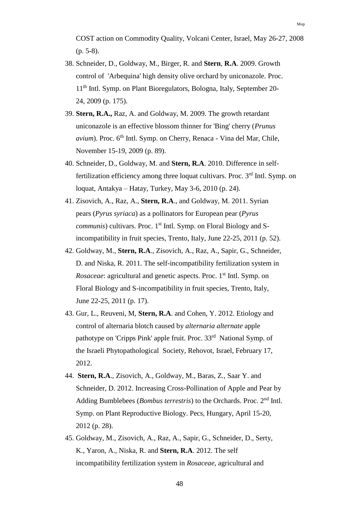- 38. Schneider, D., Goldway, M., Birger, R. and **Stern**, **R.A**. 2009. Growth control of 'Arbequina' high density olive orchard by uniconazole. Proc. 11<sup>th</sup> Intl. Symp. on Plant Bioregulators, Bologna, Italy, September 20-24, 2009 (p. 175).
- 39. **Stern, R.A.,** Raz, A. and Goldway, M. 2009. The growth retardant uniconazole is an effective blossom thinner for 'Bing' cherry (*Prunus avium*). Proc. 6<sup>th</sup> Intl. Symp. on Cherry, Renaca - Vina del Mar, Chile, November 15-19, 2009 (p. 89).
- 40. Schneider, D., Goldway, M. and **Stern, R.A**. 2010. Difference in selffertilization efficiency among three loquat cultivars. Proc. 3<sup>rd</sup> Intl. Symp. on loquat, Antakya – Hatay, Turkey, May 3-6, 2010 (p. 24).
- 41. Zisovich, A., Raz, A., **Stern, R.A**., and Goldway, M. 2011. Syrian pears (*Pyrus syriaca*) as a pollinators for European pear (*Pyrus communis*) cultivars. Proc. 1<sup>st</sup> Intl. Symp. on Floral Biology and Sincompatibility in fruit species, Trento, Italy, June 22-25, 2011 (p. 52).
- 42. Goldway, M., **Stern, R.A**., Zisovich, A., Raz, A., Sapir, G., Schneider, D. and Niska, R. 2011. The self-incompatibility fertilization system in *Rosaceae*: agricultural and genetic aspects. Proc. 1<sup>st</sup> Intl. Symp. on Floral Biology and S-incompatibility in fruit species, Trento, Italy, June 22-25, 2011 (p. 17).
- 43. Gur, L., Reuveni, M, **Stern, R.A**. and Cohen, Y. 2012. Etiology and control of alternaria blotch caused by *alternaria alternate* apple pathotype on 'Cripps Pink' apple fruit. Proc. 33<sup>rd</sup> National Symp. of the Israeli Phytopathological Society, Rehovot, Israel, February 17, 2012.
- 44. **Stern, R.A**., Zisovich, A., Goldway, M., Baras, Z., Saar Y. and Schneider, D. 2012. Increasing Cross-Pollination of Apple and Pear by Adding Bumblebees (*Bombus terrestris*) to the Orchards. Proc. 2<sup>nd</sup> Intl. Symp. on Plant Reproductive Biology. Pecs, Hungary, April 15-20, 2012 (p. 28).
- 45. Goldway, M., Zisovich, A., Raz, A., Sapir, G., Schneider, D., Serty, K., Yaron, A., Niska, R. and **Stern, R.A**. 2012. The self incompatibility fertilization system in *Rosaceae*, agricultural and

Mop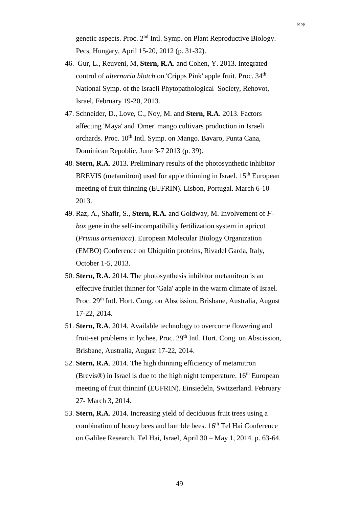genetic aspects. Proc. 2<sup>nd</sup> Intl. Symp. on Plant Reproductive Biology. Pecs, Hungary, April 15-20, 2012 (p. 31-32).

- 46. Gur, L., Reuveni, M, **Stern, R.A**. and Cohen, Y. 2013. Integrated control of *alternaria blotch* on 'Cripps Pink' apple fruit. Proc. 34<sup>th</sup> National Symp. of the Israeli Phytopathological Society, Rehovot, Israel, February 19-20, 2013.
- 47. Schneider, D., Love, C., Noy, M. and **Stern, R.A**. 2013. Factors affecting 'Maya' and 'Omer' mango cultivars production in Israeli orchards. Proc. 10<sup>th</sup> Intl. Symp. on Mango. Bavaro, Punta Cana, Dominican Repoblic, June 3-7 2013 (p. 39).
- 48. **Stern, R.A**. 2013. Preliminary results of the photosynthetic inhibitor BREVIS (metamitron) used for apple thinning in Israel.  $15<sup>th</sup>$  European meeting of fruit thinning (EUFRIN). Lisbon, Portugal. March 6-10 2013.
- 49. Raz, A., Shafir, S., **Stern, R.A.** and Goldway, M. Involvement of *Fbox* gene in the self-incompatibility fertilization system in apricot (*Prunus armeniaca*). European Molecular Biology Organization (EMBO) Conference on Ubiquitin proteins, Rivadel Garda, Italy, October 1-5, 2013.
- 50. **Stern, R.A.** 2014. The photosynthesis inhibitor metamitron is an effective fruitlet thinner for 'Gala' apple in the warm climate of Israel. Proc. 29<sup>th</sup> Intl. Hort. Cong. on Abscission, Brisbane, Australia, August 17-22, 2014.
- 51. **Stern, R.A**. 2014. Available technology to overcome flowering and fruit-set problems in lychee. Proc. 29<sup>th</sup> Intl. Hort. Cong. on Abscission, Brisbane, Australia, August 17-22, 2014.
- 52. **Stern, R.A**. 2014. The high thinning efficiency of metamitron (Brevis<sup>®</sup>) in Israel is due to the high night temperature.  $16<sup>th</sup>$  European meeting of fruit thinninf (EUFRIN). Einsiedeln, Switzerland. February 27- March 3, 2014.
- 53. **Stern, R.A**. 2014. Increasing yield of deciduous fruit trees using a combination of honey bees and bumble bees.  $16<sup>th</sup>$  Tel Hai Conference on Galilee Research, Tel Hai, Israel, April 30 – May 1, 2014. p. 63-64.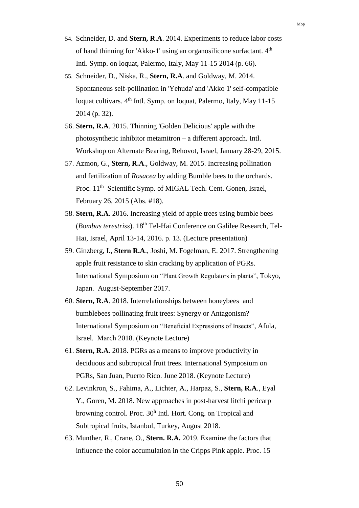- 54. Schneider, D. and **Stern, R.A**. 2014. Experiments to reduce labor costs of hand thinning for 'Akko-1' using an organosilicone surfactant. 4<sup>th</sup> Intl. Symp. on loquat, Palermo, Italy, May 11-15 2014 (p. 66).
- 55. Schneider, D., Niska, R., **Stern, R.A**. and Goldway, M. 2014. Spontaneous self-pollination in 'Yehuda' and 'Akko 1' self-compatible loquat cultivars. 4<sup>th</sup> Intl. Symp. on loquat, Palermo, Italy, May 11-15 2014 (p. 32).
- 56. **Stern, R.A**. 2015. Thinning 'Golden Delicious' apple with the photosynthetic inhibitor metamitron – a different approach. Intl. Workshop on Alternate Bearing, Rehovot, Israel, January 28-29, 2015.
- 57. Azmon, G., **Stern, R.A**., Goldway, M. 2015. Increasing pollination and fertilization of *Rosacea* by adding Bumble bees to the orchards. Proc. 11<sup>th</sup> Scientific Symp. of MIGAL Tech. Cent. Gonen, Israel, February 26, 2015 (Abs. #18).
- 58. **Stern, R.A**. 2016. Increasing yield of apple trees using bumble bees (*Bombus terestriss*). 18th Tel-Hai Conference on Galilee Research, Tel-Hai, Israel, April 13-14, 2016. p. 13. (Lecture presentation)
- 59. Ginzberg, I., **Stern R.A**., Joshi, M. Fogelman, E. 2017. Strengthening apple fruit resistance to skin cracking by application of PGRs. International Symposium on "Plant Growth Regulators in plants", Tokyo, Japan. August-September 2017.
- 60. **Stern, R.A**. 2018. Interrelationships between honeybees and bumblebees pollinating fruit trees: Synergy or Antagonism? International Symposium on "Beneficial Expressions of Insects", Afula, Israel. March 2018. (Keynote Lecture)
- 61. **Stern, R.A**. 2018. PGRs as a means to improve productivity in deciduous and subtropical fruit trees. International Symposium on PGRs, San Juan, Puerto Rico. June 2018. (Keynote Lecture)
- 62. Levinkron, S., Fahima, A., Lichter, A., Harpaz, S., **Stern, R.A**., Eyal Y., Goren, M. 2018. New approaches in post-harvest litchi pericarp browning control. Proc. 30<sup>h</sup> Intl. Hort. Cong. on Tropical and Subtropical fruits, Istanbul, Turkey, August 2018.
- 63. Munther, R., Crane, O., **Stern. R.A.** 2019. Examine the factors that influence the color accumulation in the Cripps Pink apple. Proc. 15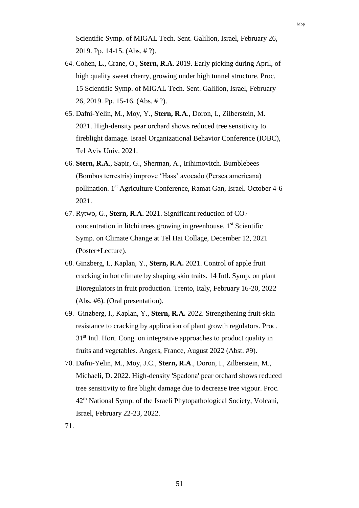Scientific Symp. of MIGAL Tech. Sent. Galilion, Israel, February 26, 2019. Pp. 14-15. (Abs. # ?).

- 64. Cohen, L., Crane, O., **Stern, R.A**. 2019. Early picking during April, of high quality sweet cherry, growing under high tunnel structure. Proc. 15 Scientific Symp. of MIGAL Tech. Sent. Galilion, Israel, February 26, 2019. Pp. 15-16. (Abs. # ?).
- 65. Dafni-Yelin, M., Moy, Y., **Stern, R.A**., Doron, I., Zilberstein, M. 2021. High-density pear orchard shows reduced tree sensitivity to fireblight damage. Israel Organizational Behavior Conference (IOBC), Tel Aviv Univ. 2021.
- 66. **Stern, R.A**., Sapir, G., Sherman, A., Irihimovitch. Bumblebees (Bombus terrestris) improve 'Hass' avocado (Persea americana) pollination. 1<sup>st</sup> Agriculture Conference, Ramat Gan, Israel. October 4-6 2021.
- 67. Rytwo, G., **Stern, R.A.** 2021. Significant reduction of CO<sup>2</sup> concentration in litchi trees growing in greenhouse.  $1<sup>st</sup>$  Scientific Symp. on Climate Change at Tel Hai Collage, December 12, 2021 (Poster+Lecture).
- 68. Ginzberg, I., Kaplan, Y., **Stern, R.A.** 2021. Control of apple fruit cracking in hot climate by shaping skin traits. 14 Intl. Symp. on plant Bioregulators in fruit production. Trento, Italy, February 16-20, 2022 (Abs. #6). (Oral presentation).
- 69. Ginzberg, I., Kaplan, Y., **Stern, R.A.** 2022. Strengthening fruit-skin resistance to cracking by application of plant growth regulators. Proc. 31<sup>st</sup> Intl. Hort. Cong. on integrative approaches to product quality in fruits and vegetables. Angers, France, August 2022 (Abst. #9).
- 70. Dafni-Yelin, M., Moy, J.C., **Stern, R.A**., Doron, I., Zilberstein, M., Michaeli, D. 2022. High-density 'Spadona' pear orchard shows reduced tree sensitivity to fire blight damage due to decrease tree vigour. Proc.  $42<sup>th</sup>$  National Symp. of the Israeli Phytopathological Society, Volcani, Israel, February 22-23, 2022.
- 71.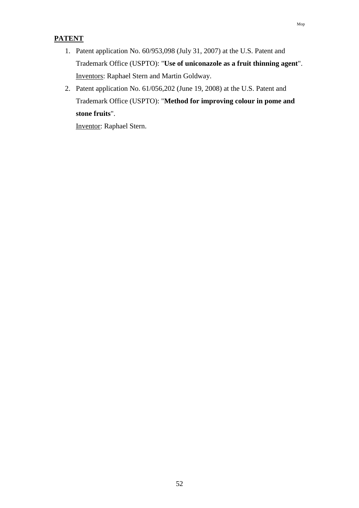- 1. Patent application No. 60/953,098 (July 31, 2007) at the U.S. Patent and Trademark Office (USPTO): "**Use of uniconazole as a fruit thinning agent**". Inventors: Raphael Stern and Martin Goldway.
- 2. Patent application No. 61/056,202 (June 19, 2008) at the U.S. Patent and Trademark Office (USPTO): "**Method for improving colour in pome and stone fruits**".

Inventor: Raphael Stern.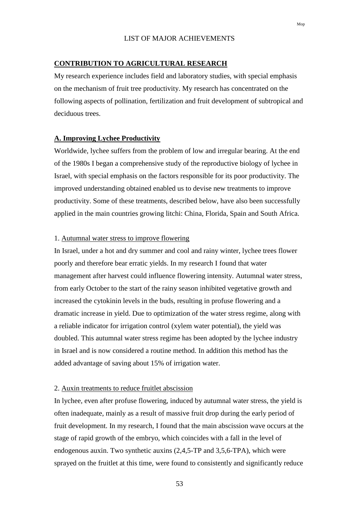## LIST OF MAJOR ACHIEVEMENTS

## **CONTRIBUTION TO AGRICULTURAL RESEARCH**

My research experience includes field and laboratory studies, with special emphasis on the mechanism of fruit tree productivity. My research has concentrated on the following aspects of pollination, fertilization and fruit development of subtropical and deciduous trees.

#### **A. Improving Lychee Productivity**

Worldwide, lychee suffers from the problem of low and irregular bearing. At the end of the 1980s I began a comprehensive study of the reproductive biology of lychee in Israel, with special emphasis on the factors responsible for its poor productivity. The improved understanding obtained enabled us to devise new treatments to improve productivity. Some of these treatments, described below, have also been successfully applied in the main countries growing litchi: China, Florida, Spain and South Africa.

#### 1. Autumnal water stress to improve flowering

In Israel, under a hot and dry summer and cool and rainy winter, lychee trees flower poorly and therefore bear erratic yields. In my research I found that water management after harvest could influence flowering intensity. Autumnal water stress, from early October to the start of the rainy season inhibited vegetative growth and increased the cytokinin levels in the buds, resulting in profuse flowering and a dramatic increase in yield. Due to optimization of the water stress regime, along with a reliable indicator for irrigation control (xylem water potential), the yield was doubled. This autumnal water stress regime has been adopted by the lychee industry in Israel and is now considered a routine method. In addition this method has the added advantage of saving about 15% of irrigation water.

### 2. Auxin treatments to reduce fruitlet abscission

In lychee, even after profuse flowering, induced by autumnal water stress, the yield is often inadequate, mainly as a result of massive fruit drop during the early period of fruit development. In my research, I found that the main abscission wave occurs at the stage of rapid growth of the embryo, which coincides with a fall in the level of endogenous auxin. Two synthetic auxins (2,4,5-TP and 3,5,6-TPA), which were sprayed on the fruitlet at this time, were found to consistently and significantly reduce

Mop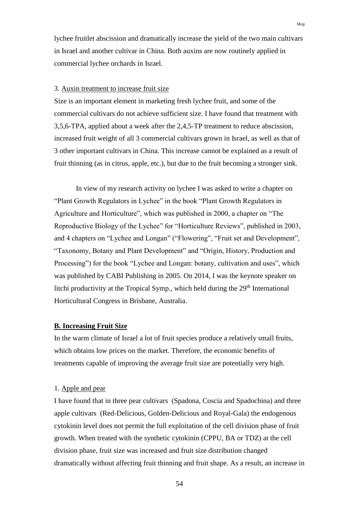lychee fruitlet abscission and dramatically increase the yield of the two main cultivars in Israel and another cultivar in China. Both auxins are now routinely applied in commercial lychee orchards in Israel.

### 3. Auxin treatment to increase fruit size

Size is an important element in marketing fresh lychee fruit, and some of the commercial cultivars do not achieve sufficient size. I have found that treatment with 3,5,6-TPA, applied about a week after the 2,4,5-TP treatment to reduce abscission, increased fruit weight of all 3 commercial cultivars grown in Israel, as well as that of 3 other important cultivars in China. This increase cannot be explained as a result of fruit thinning (as in citrus, apple, etc.), but due to the fruit becoming a stronger sink.

In view of my research activity on lychee I was asked to write a chapter on "Plant Growth Regulators in Lychee" in the book "Plant Growth Regulators in Agriculture and Horticulture", which was published in 2000, a chapter on "The Reproductive Biology of the Lychee" for "Horticulture Reviews", published in 2003, and 4 chapters on "Lychee and Longan" ("Flowering", "Fruit set and Development", "Taxonomy, Botany and Plant Development" and "Origin, History, Production and Processing") for the book "Lychee and Longan: botany, cultivation and uses", which was published by CABI Publishing in 2005. On 2014, I was the keynote speaker on litchi productivity at the Tropical Symp., which held during the 29<sup>th</sup> International Horticultural Congress in Brisbane, Australia.

#### **B. Increasing Fruit Size**

In the warm climate of Israel a lot of fruit species produce a relatively small fruits, which obtains low prices on the market. Therefore, the economic benefits of treatments capable of improving the average fruit size are potentially very high.

#### 1. Apple and pear

I have found that in three pear cultivars (Spadona, Coscia and Spadochina) and three apple cultivars (Red-Delicious, Golden-Delicious and Royal-Gala) the endogenous cytokinin level does not permit the full exploitation of the cell division phase of fruit growth. When treated with the synthetic cytokinin (CPPU, BA or TDZ) at the cell division phase, fruit size was increased and fruit size distribution changed dramatically without affecting fruit thinning and fruit shape. As a result, an increase in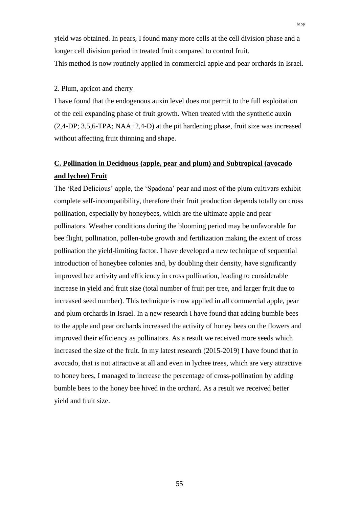yield was obtained. In pears, I found many more cells at the cell division phase and a longer cell division period in treated fruit compared to control fruit. This method is now routinely applied in commercial apple and pear orchards in Israel.

#### 2. Plum, apricot and cherry

I have found that the endogenous auxin level does not permit to the full exploitation of the cell expanding phase of fruit growth. When treated with the synthetic auxin (2,4-DP; 3,5,6-TPA; NAA+2,4-D) at the pit hardening phase, fruit size was increased without affecting fruit thinning and shape.

# **C. Pollination in Deciduous (apple, pear and plum) and Subtropical (avocado and lychee) Fruit**

The 'Red Delicious' apple, the 'Spadona' pear and most of the plum cultivars exhibit complete self-incompatibility, therefore their fruit production depends totally on cross pollination, especially by honeybees, which are the ultimate apple and pear pollinators. Weather conditions during the blooming period may be unfavorable for bee flight, pollination, pollen-tube growth and fertilization making the extent of cross pollination the yield-limiting factor. I have developed a new technique of sequential introduction of honeybee colonies and, by doubling their density, have significantly improved bee activity and efficiency in cross pollination, leading to considerable increase in yield and fruit size (total number of fruit per tree, and larger fruit due to increased seed number). This technique is now applied in all commercial apple, pear and plum orchards in Israel. In a new research I have found that adding bumble bees to the apple and pear orchards increased the activity of honey bees on the flowers and improved their efficiency as pollinators. As a result we received more seeds which increased the size of the fruit. In my latest research (2015-2019) I have found that in avocado, that is not attractive at all and even in lychee trees, which are very attractive to honey bees, I managed to increase the percentage of cross-pollination by adding bumble bees to the honey bee hived in the orchard. As a result we received better yield and fruit size.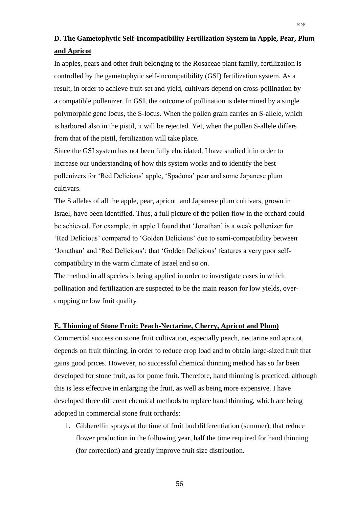# **D. The Gametophytic Self-Incompatibility Fertilization System in Apple, Pear, Plum and Apricot**

In apples, pears and other fruit belonging to the Rosaceae plant family, fertilization is controlled by the gametophytic self-incompatibility (GSI) fertilization system. As a result, in order to achieve fruit-set and yield, cultivars depend on cross-pollination by a compatible pollenizer. In GSI, the outcome of pollination is determined by a single polymorphic gene locus, the S-locus. When the pollen grain carries an S-allele, which is harbored also in the pistil, it will be rejected. Yet, when the pollen S-allele differs from that of the pistil, fertilization will take place.

Since the GSI system has not been fully elucidated, I have studied it in order to increase our understanding of how this system works and to identify the best pollenizers for 'Red Delicious' apple, 'Spadona' pear and some Japanese plum cultivars.

The S alleles of all the apple, pear, apricot and Japanese plum cultivars, grown in Israel, have been identified. Thus, a full picture of the pollen flow in the orchard could be achieved. For example, in apple I found that 'Jonathan' is a weak pollenizer for 'Red Delicious' compared to 'Golden Delicious' due to semi-compatibility between 'Jonathan' and 'Red Delicious'; that 'Golden Delicious' features a very poor selfcompatibility in the warm climate of Israel and so on.

The method in all species is being applied in order to investigate cases in which pollination and fertilization are suspected to be the main reason for low yields, overcropping or low fruit quality.

## **E. Thinning of Stone Fruit: Peach-Nectarine, Cherry, Apricot and Plum)**

Commercial success on stone fruit cultivation, especially peach, nectarine and apricot, depends on fruit thinning, in order to reduce crop load and to obtain large-sized fruit that gains good prices. However, no successful chemical thinning method has so far been developed for stone fruit, as for pome fruit. Therefore, hand thinning is practiced, although this is less effective in enlarging the fruit, as well as being more expensive. I have developed three different chemical methods to replace hand thinning, which are being adopted in commercial stone fruit orchards:

1. Gibberellin sprays at the time of fruit bud differentiation (summer), that reduce flower production in the following year, half the time required for hand thinning (for correction) and greatly improve fruit size distribution.